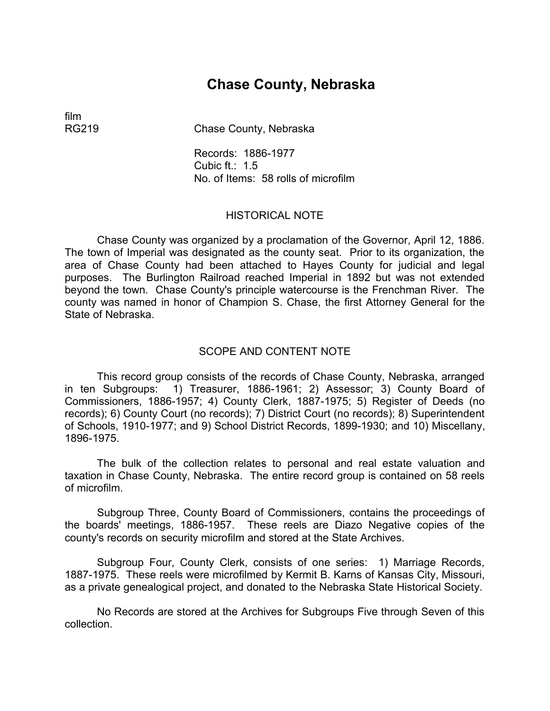# **Chase County, Nebraska**

film

RG219 Chase County, Nebraska

Records: 1886-1977 Cubic ft.: 1.5 No. of Items: 58 rolls of microfilm

#### HISTORICAL NOTE

Chase County was organized by a proclamation of the Governor, April 12, 1886. The town of Imperial was designated as the county seat. Prior to its organization, the area of Chase County had been attached to Hayes County for judicial and legal purposes. The Burlington Railroad reached Imperial in 1892 but was not extended beyond the town. Chase County's principle watercourse is the Frenchman River. The county was named in honor of Champion S. Chase, the first Attorney General for the State of Nebraska.

## SCOPE AND CONTENT NOTE

This record group consists of the records of Chase County, Nebraska, arranged in ten Subgroups: 1) Treasurer, 1886-1961; 2) Assessor; 3) County Board of Commissioners, 1886-1957; 4) County Clerk, 1887-1975; 5) Register of Deeds (no records); 6) County Court (no records); 7) District Court (no records); 8) Superintendent of Schools, 1910-1977; and 9) School District Records, 1899-1930; and 10) Miscellany, 1896-1975.

The bulk of the collection relates to personal and real estate valuation and taxation in Chase County, Nebraska. The entire record group is contained on 58 reels of microfilm.

Subgroup Three, County Board of Commissioners, contains the proceedings of the boards' meetings, 1886-1957. These reels are Diazo Negative copies of the county's records on security microfilm and stored at the State Archives.

Subgroup Four, County Clerk, consists of one series: 1) Marriage Records, 1887-1975. These reels were microfilmed by Kermit B. Karns of Kansas City, Missouri, as a private genealogical project, and donated to the Nebraska State Historical Society.

No Records are stored at the Archives for Subgroups Five through Seven of this collection.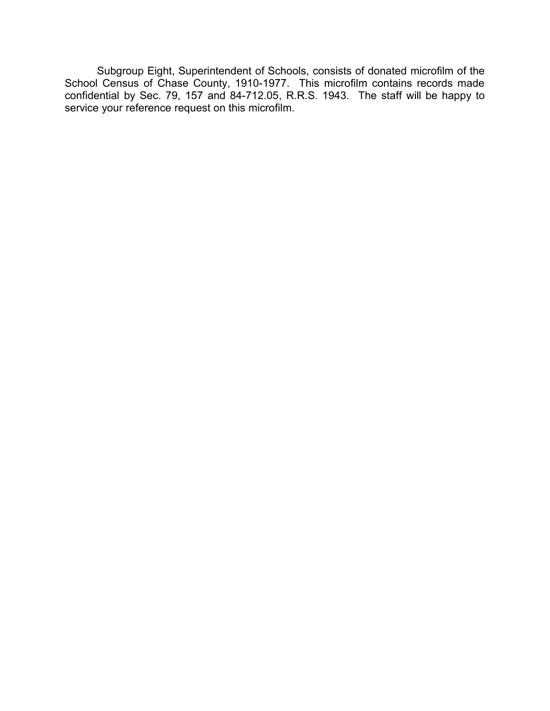Subgroup Eight, Superintendent of Schools, consists of donated microfilm of the School Census of Chase County, 1910-1977. This microfilm contains records made confidential by Sec. 79, 157 and 84-712.05, R.R.S. 1943. The staff will be happy to service your reference request on this microfilm.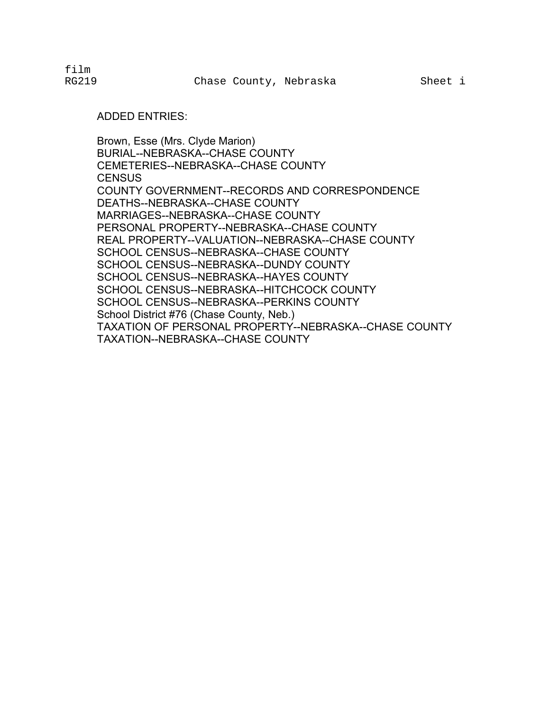#### ADDED ENTRIES:

Brown, Esse (Mrs. Clyde Marion) BURIAL--NEBRASKA--CHASE COUNTY CEMETERIES--NEBRASKA--CHASE COUNTY **CENSUS** COUNTY GOVERNMENT--RECORDS AND CORRESPONDENCE DEATHS--NEBRASKA--CHASE COUNTY MARRIAGES--NEBRASKA--CHASE COUNTY PERSONAL PROPERTY--NEBRASKA--CHASE COUNTY REAL PROPERTY--VALUATION--NEBRASKA--CHASE COUNTY SCHOOL CENSUS--NEBRASKA--CHASE COUNTY SCHOOL CENSUS--NEBRASKA--DUNDY COUNTY SCHOOL CENSUS--NEBRASKA--HAYES COUNTY SCHOOL CENSUS--NEBRASKA--HITCHCOCK COUNTY SCHOOL CENSUS--NEBRASKA--PERKINS COUNTY School District #76 (Chase County, Neb.) TAXATION OF PERSONAL PROPERTY--NEBRASKA--CHASE COUNTY TAXATION--NEBRASKA--CHASE COUNTY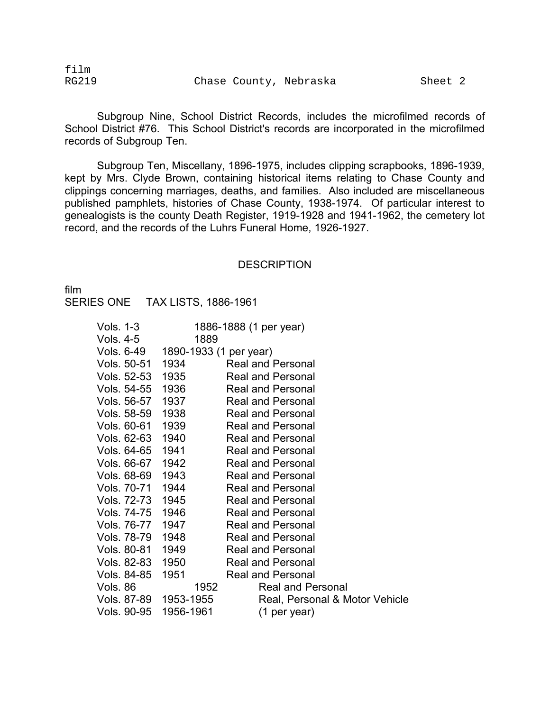film

Subgroup Nine, School District Records, includes the microfilmed records of School District #76. This School District's records are incorporated in the microfilmed records of Subgroup Ten.

Subgroup Ten, Miscellany, 1896-1975, includes clipping scrapbooks, 1896-1939, kept by Mrs. Clyde Brown, containing historical items relating to Chase County and clippings concerning marriages, deaths, and families. Also included are miscellaneous published pamphlets, histories of Chase County, 1938-1974. Of particular interest to genealogists is the county Death Register, 1919-1928 and 1941-1962, the cemetery lot record, and the records of the Luhrs Funeral Home, 1926-1927.

#### **DESCRIPTION**

film SERIES ONE TAX LISTS, 1886-1961

| Vols. 1-3   |                        | 1886-1888 (1 per year)         |
|-------------|------------------------|--------------------------------|
| Vols. 4-5   | 1889                   |                                |
| Vols. 6-49  | 1890-1933 (1 per year) |                                |
| Vols. 50-51 | 1934                   | Real and Personal              |
| Vols. 52-53 | 1935                   | Real and Personal              |
| Vols. 54-55 | 1936                   | <b>Real and Personal</b>       |
| Vols. 56-57 | 1937                   | <b>Real and Personal</b>       |
| Vols. 58-59 | 1938                   | <b>Real and Personal</b>       |
| Vols. 60-61 | 1939                   | <b>Real and Personal</b>       |
| Vols. 62-63 | 1940                   | <b>Real and Personal</b>       |
| Vols. 64-65 | 1941                   | <b>Real and Personal</b>       |
| Vols. 66-67 | 1942                   | <b>Real and Personal</b>       |
| Vols. 68-69 | 1943                   | <b>Real and Personal</b>       |
| Vols. 70-71 | 1944                   | <b>Real and Personal</b>       |
| Vols. 72-73 | 1945                   | Real and Personal              |
| Vols. 74-75 | 1946                   | Real and Personal              |
| Vols. 76-77 | 1947                   | <b>Real and Personal</b>       |
| Vols. 78-79 | 1948                   | <b>Real and Personal</b>       |
| Vols. 80-81 | 1949                   | <b>Real and Personal</b>       |
| Vols. 82-83 | 1950                   | <b>Real and Personal</b>       |
| Vols. 84-85 | 1951                   | <b>Real and Personal</b>       |
| Vols. 86    | 1952                   | <b>Real and Personal</b>       |
|             | Vols. 87-89 1953-1955  | Real, Personal & Motor Vehicle |
| Vols. 90-95 | 1956-1961              | (1 per year)                   |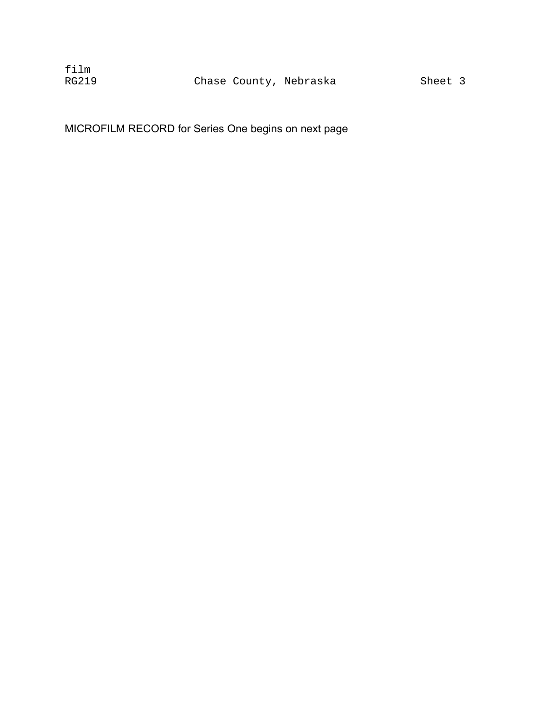MICROFILM RECORD for Series One begins on next page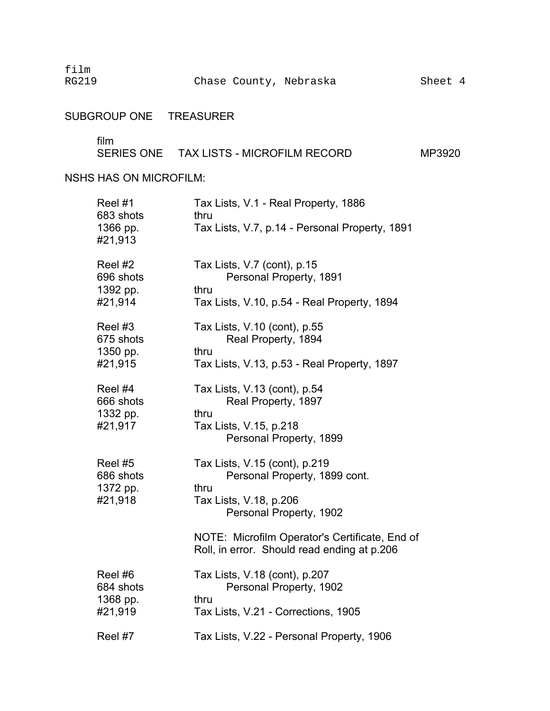film

## SUBGROUP ONE TREASURER

film

# SERIES ONE TAX LISTS - MICROFILM RECORD MP3920

NSHS HAS ON MICROFILM:

| Reel #1<br>683 shots<br>1366 pp.<br>#21,913 | Tax Lists, V.1 - Real Property, 1886<br>thru<br>Tax Lists, V.7, p.14 - Personal Property, 1891                              |
|---------------------------------------------|-----------------------------------------------------------------------------------------------------------------------------|
| Reel #2<br>696 shots<br>1392 pp.<br>#21,914 | Tax Lists, V.7 (cont), p.15<br>Personal Property, 1891<br>thru<br>Tax Lists, V.10, p.54 - Real Property, 1894               |
| Reel #3<br>675 shots<br>1350 pp.<br>#21,915 | Tax Lists, V.10 (cont), p.55<br>Real Property, 1894<br>thru<br>Tax Lists, V.13, p.53 - Real Property, 1897                  |
| Reel #4<br>666 shots<br>1332 pp.<br>#21,917 | Tax Lists, V.13 (cont), p.54<br>Real Property, 1897<br>thru<br>Tax Lists, V.15, p.218<br>Personal Property, 1899            |
| Reel #5<br>686 shots<br>1372 pp.<br>#21,918 | Tax Lists, V.15 (cont), p.219<br>Personal Property, 1899 cont.<br>thru<br>Tax Lists, V.18, p.206<br>Personal Property, 1902 |
|                                             | NOTE: Microfilm Operator's Certificate, End of<br>Roll, in error. Should read ending at p.206                               |
| Reel #6<br>684 shots<br>1368 pp.<br>#21,919 | Tax Lists, V.18 (cont), p.207<br>Personal Property, 1902<br>thru<br>Tax Lists, V.21 - Corrections, 1905                     |
| Reel #7                                     | Tax Lists, V.22 - Personal Property, 1906                                                                                   |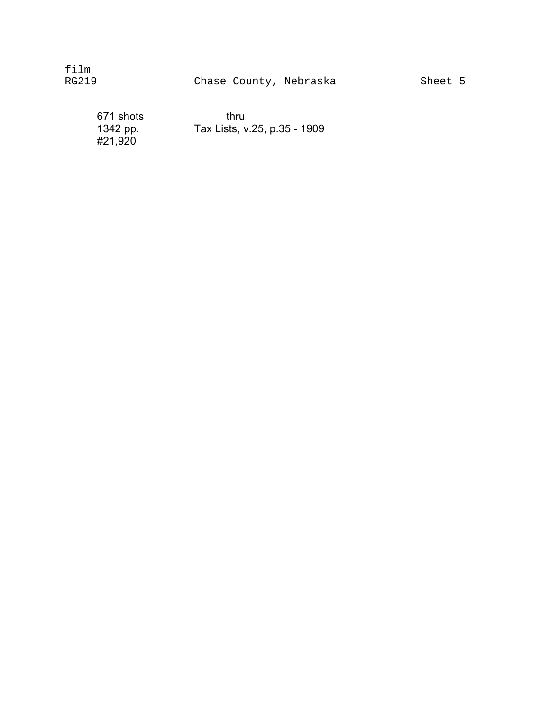671 shots thru 1342 pp.<br>#21,920

Tax Lists, v.25, p.35 - 1909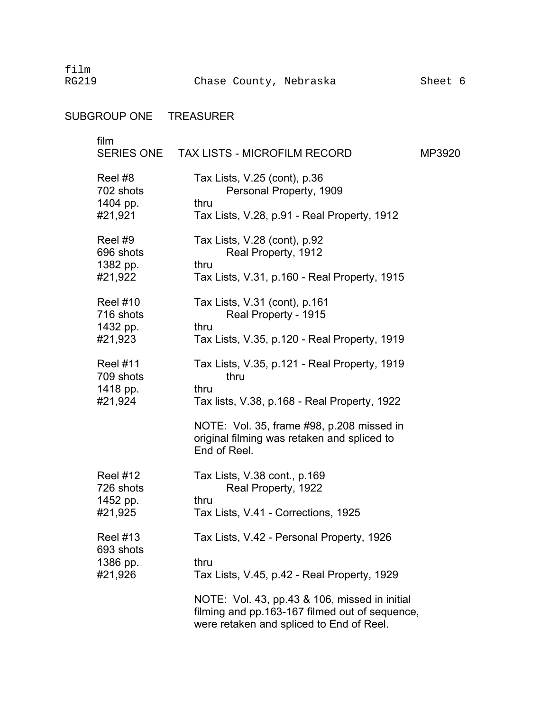film

## SUBGROUP ONE TREASURER

| film                                                | SERIES ONE TAX LISTS - MICROFILM RECORD                                                                                                     | MP3920 |
|-----------------------------------------------------|---------------------------------------------------------------------------------------------------------------------------------------------|--------|
| Reel #8<br>702 shots<br>1404 pp.<br>#21,921         | Tax Lists, V.25 (cont), p.36<br>Personal Property, 1909<br>thru<br>Tax Lists, V.28, p.91 - Real Property, 1912                              |        |
| Reel #9<br>696 shots<br>1382 pp.<br>#21,922         | Tax Lists, V.28 (cont), p.92<br>Real Property, 1912<br>thru<br>Tax Lists, V.31, p.160 - Real Property, 1915                                 |        |
| <b>Reel #10</b><br>716 shots<br>1432 pp.<br>#21,923 | Tax Lists, V.31 (cont), p.161<br>Real Property - 1915<br>thru<br>Tax Lists, V.35, p.120 - Real Property, 1919                               |        |
| <b>Reel #11</b><br>709 shots<br>1418 pp.<br>#21,924 | Tax Lists, V.35, p.121 - Real Property, 1919<br>thru<br>thru<br>Tax lists, V.38, p.168 - Real Property, 1922                                |        |
|                                                     | NOTE: Vol. 35, frame #98, p.208 missed in<br>original filming was retaken and spliced to<br>End of Reel.                                    |        |
| <b>Reel #12</b><br>726 shots<br>1452 pp.<br>#21,925 | Tax Lists, V.38 cont., p.169<br>Real Property, 1922<br>thru<br>Tax Lists, V.41 - Corrections, 1925                                          |        |
| <b>Reel #13</b><br>693 shots<br>1386 pp.<br>#21,926 | Tax Lists, V.42 - Personal Property, 1926<br>thru<br>Tax Lists, V.45, p.42 - Real Property, 1929                                            |        |
|                                                     | NOTE: Vol. 43, pp.43 & 106, missed in initial<br>filming and pp.163-167 filmed out of sequence,<br>were retaken and spliced to End of Reel. |        |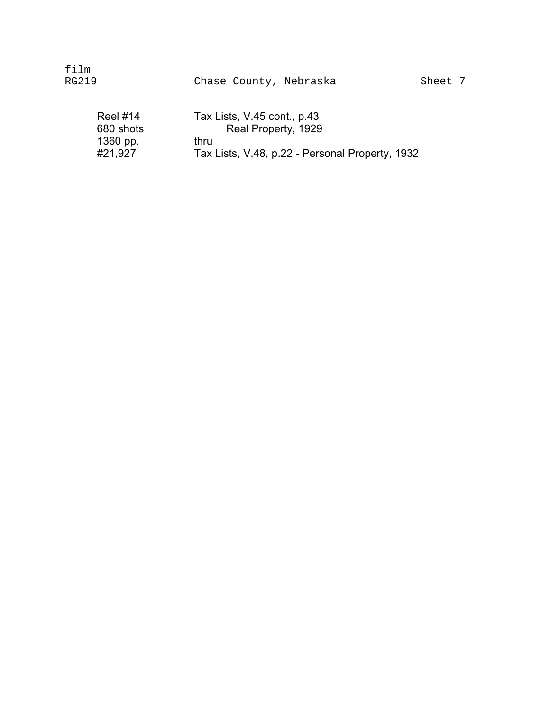| film<br>RG219                                       | Chase County, Nebraska                                                                                        | Sheet 7 |
|-----------------------------------------------------|---------------------------------------------------------------------------------------------------------------|---------|
| <b>Reel #14</b><br>680 shots<br>1360 pp.<br>#21,927 | Tax Lists, V.45 cont., p.43<br>Real Property, 1929<br>thru<br>Tax Lists, V.48, p.22 - Personal Property, 1932 |         |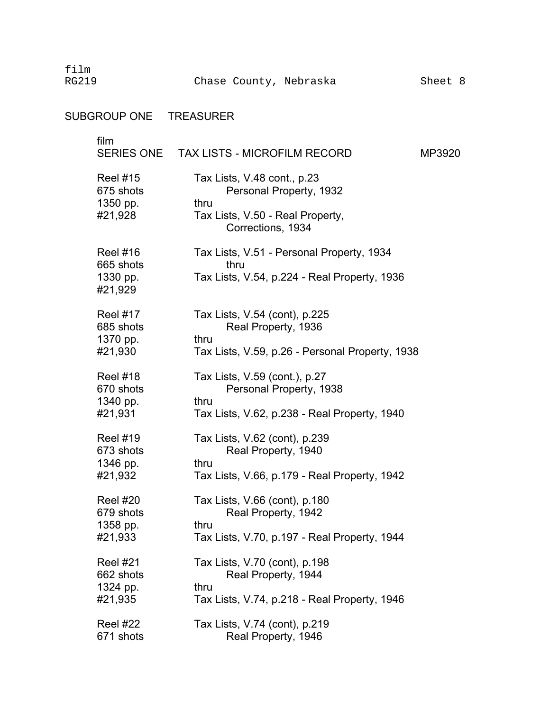film RG219

# SUBGROUP ONE TREASURER

| film                         | SERIES ONE TAX LISTS - MICROFILM RECORD                       | MP3920 |
|------------------------------|---------------------------------------------------------------|--------|
| <b>Reel #15</b><br>675 shots | Tax Lists, V.48 cont., p.23<br>Personal Property, 1932        |        |
| 1350 pp.<br>#21,928          | thru<br>Tax Lists, V.50 - Real Property,<br>Corrections, 1934 |        |
| <b>Reel #16</b><br>665 shots | Tax Lists, V.51 - Personal Property, 1934<br>thru             |        |
| 1330 pp.<br>#21,929          | Tax Lists, V.54, p.224 - Real Property, 1936                  |        |
| <b>Reel #17</b>              | Tax Lists, V.54 (cont), p.225                                 |        |
| 685 shots<br>1370 pp.        | Real Property, 1936<br>thru                                   |        |
| #21,930                      | Tax Lists, V.59, p.26 - Personal Property, 1938               |        |
| <b>Reel #18</b>              | Tax Lists, V.59 (cont.), p.27                                 |        |
| 670 shots<br>1340 pp.        | Personal Property, 1938<br>thru                               |        |
| #21,931                      | Tax Lists, V.62, p.238 - Real Property, 1940                  |        |
| <b>Reel #19</b>              | Tax Lists, V.62 (cont), p.239                                 |        |
| 673 shots<br>1346 pp.        | Real Property, 1940<br>thru                                   |        |
| #21,932                      | Tax Lists, V.66, p.179 - Real Property, 1942                  |        |
| <b>Reel #20</b>              | Tax Lists, V.66 (cont), p.180                                 |        |
| 679 shots                    | Real Property, 1942                                           |        |
| 1358 pp.<br>#21,933          | thru<br>Tax Lists, V.70, p.197 - Real Property, 1944          |        |
|                              |                                                               |        |
| <b>Reel #21</b>              | Tax Lists, V.70 (cont), p.198                                 |        |
| 662 shots                    | Real Property, 1944                                           |        |
| 1324 pp.                     | thru                                                          |        |
| #21,935                      | Tax Lists, V.74, p.218 - Real Property, 1946                  |        |
| Reel #22                     | Tax Lists, V.74 (cont), p.219                                 |        |
| 671 shots                    | Real Property, 1946                                           |        |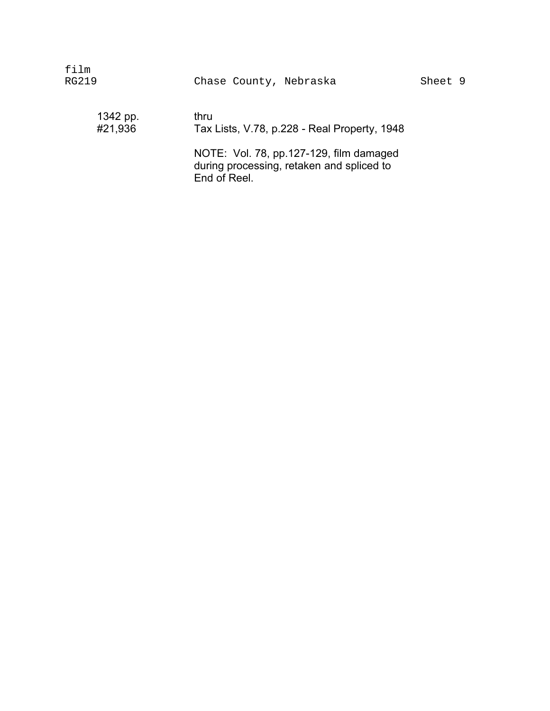| film<br>RG219       | Chase County, Nebraska                                                                                                                                       | Sheet 9 |  |
|---------------------|--------------------------------------------------------------------------------------------------------------------------------------------------------------|---------|--|
| 1342 pp.<br>#21,936 | thru<br>Tax Lists, V.78, p.228 - Real Property, 1948<br>NOTE: Vol. 78, pp.127-129, film damaged<br>during processing, retaken and spliced to<br>End of Reel. |         |  |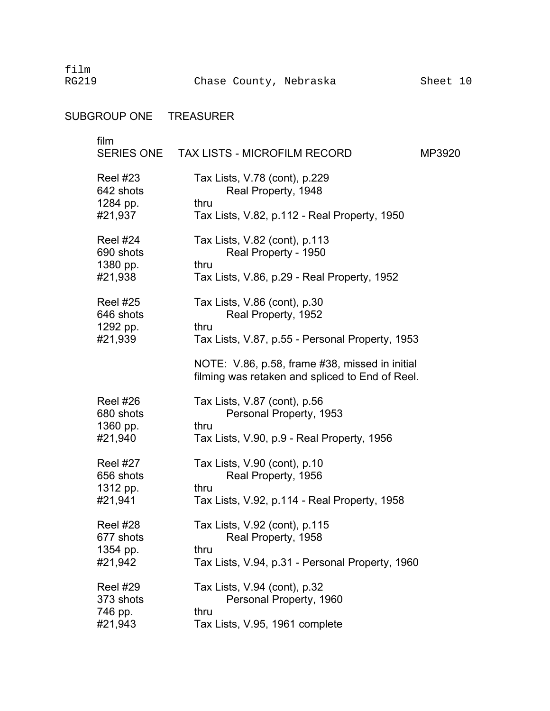film

## SUBGROUP ONE TREASURER

| film                         | SERIES ONE TAX LISTS - MICROFILM RECORD                                                           | MP3920 |
|------------------------------|---------------------------------------------------------------------------------------------------|--------|
| <b>Reel #23</b><br>642 shots | Tax Lists, V.78 (cont), p.229<br>Real Property, 1948                                              |        |
| 1284 pp.<br>#21,937          | thru<br>Tax Lists, V.82, p.112 - Real Property, 1950                                              |        |
| Reel #24<br>690 shots        | Tax Lists, V.82 (cont), p.113<br>Real Property - 1950                                             |        |
| 1380 pp.<br>#21,938          | thru<br>Tax Lists, V.86, p.29 - Real Property, 1952                                               |        |
| <b>Reel #25</b><br>646 shots | Tax Lists, V.86 (cont), p.30<br>Real Property, 1952                                               |        |
| 1292 pp.<br>#21,939          | thru<br>Tax Lists, V.87, p.55 - Personal Property, 1953                                           |        |
|                              | NOTE: V.86, p.58, frame #38, missed in initial<br>filming was retaken and spliced to End of Reel. |        |
| Reel #26<br>680 shots        | Tax Lists, V.87 (cont), p.56<br>Personal Property, 1953                                           |        |
| 1360 pp.<br>#21,940          | thru<br>Tax Lists, V.90, p.9 - Real Property, 1956                                                |        |
| Reel #27<br>656 shots        | Tax Lists, V.90 (cont), p.10<br>Real Property, 1956                                               |        |
| 1312 pp.<br>#21,941          | thru<br>Tax Lists, V.92, p.114 - Real Property, 1958                                              |        |
| Reel #28<br>677 shots        | Tax Lists, V.92 (cont), p.115<br>Real Property, 1958                                              |        |
| 1354 pp.<br>#21,942          | thru<br>Tax Lists, V.94, p.31 - Personal Property, 1960                                           |        |
| Reel #29<br>373 shots        | Tax Lists, V.94 (cont), p.32<br>Personal Property, 1960                                           |        |
| 746 pp.<br>#21,943           | thru<br>Tax Lists, V.95, 1961 complete                                                            |        |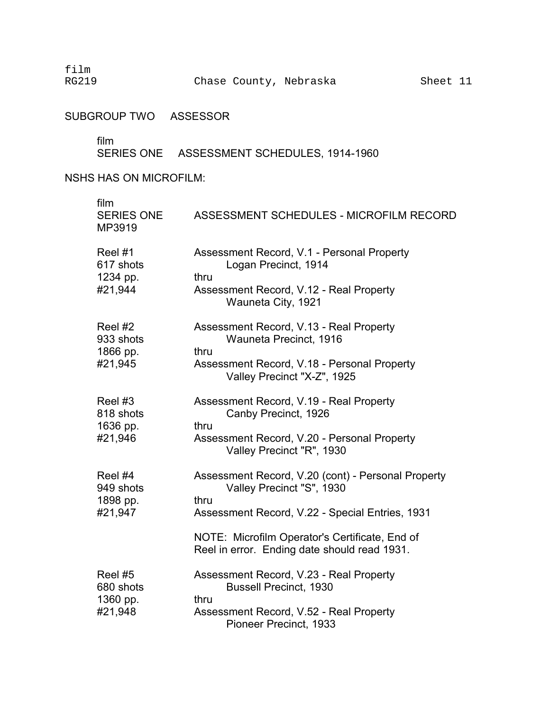film RG219

SUBGROUP TWO ASSESSOR

film

SERIES ONE ASSESSMENT SCHEDULES, 1914-1960

NSHS HAS ON MICROFILM: �

| film<br><b>SERIES ONE</b><br>MP3919         | ASSESSMENT SCHEDULES - MICROFILM RECORD                                                                                                                                                                                                      |
|---------------------------------------------|----------------------------------------------------------------------------------------------------------------------------------------------------------------------------------------------------------------------------------------------|
| Reel #1<br>617 shots<br>1234 pp.<br>#21,944 | Assessment Record, V.1 - Personal Property<br>Logan Precinct, 1914<br>thru<br>Assessment Record, V.12 - Real Property<br>Wauneta City, 1921                                                                                                  |
| Reel #2<br>933 shots<br>1866 pp.<br>#21,945 | Assessment Record, V.13 - Real Property<br>Wauneta Precinct, 1916<br>thru<br>Assessment Record, V.18 - Personal Property<br>Valley Precinct "X-Z", 1925                                                                                      |
| Reel #3<br>818 shots<br>1636 pp.<br>#21,946 | Assessment Record, V.19 - Real Property<br>Canby Precinct, 1926<br>thru<br>Assessment Record, V.20 - Personal Property<br>Valley Precinct "R", 1930                                                                                          |
| Reel #4<br>949 shots<br>1898 pp.<br>#21,947 | Assessment Record, V.20 (cont) - Personal Property<br>Valley Precinct "S", 1930<br>thru<br>Assessment Record, V.22 - Special Entries, 1931<br>NOTE: Microfilm Operator's Certificate, End of<br>Reel in error. Ending date should read 1931. |
| Reel #5<br>680 shots<br>1360 pp.<br>#21,948 | Assessment Record, V.23 - Real Property<br><b>Bussell Precinct, 1930</b><br>thru<br>Assessment Record, V.52 - Real Property<br>Pioneer Precinct, 1933                                                                                        |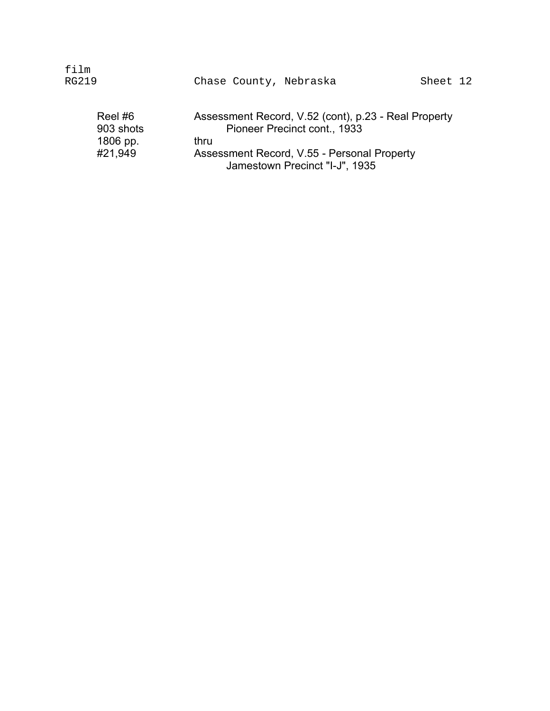| film<br>RG219                              | Chase County, Nebraska                                                                                                                                                        | Sheet 12 |
|--------------------------------------------|-------------------------------------------------------------------------------------------------------------------------------------------------------------------------------|----------|
| Reel#6<br>903 shots<br>1806 pp.<br>#21,949 | Assessment Record, V.52 (cont), p.23 - Real Property<br>Pioneer Precinct cont., 1933<br>thru<br>Assessment Record, V.55 - Personal Property<br>Jamestown Precinct "I-J", 1935 |          |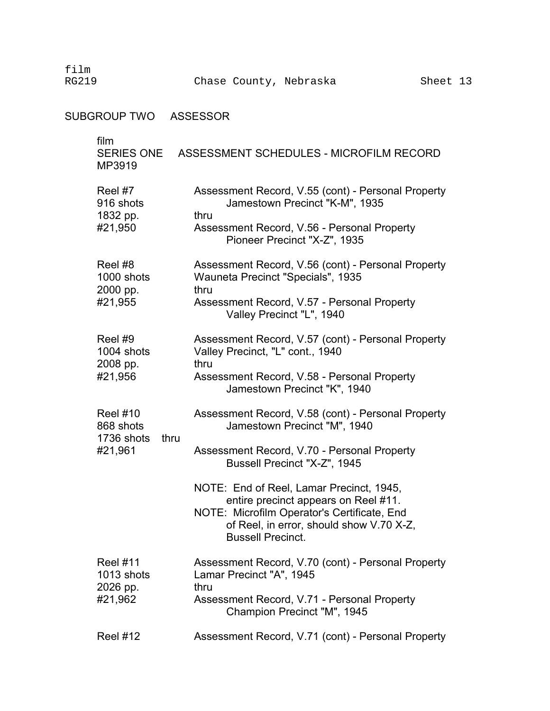film

SUBGROUP TWO ASSESSOR

| film<br><b>SERIES ONE</b><br>MP3919                           | ASSESSMENT SCHEDULES - MICROFILM RECORD                                                                                         |
|---------------------------------------------------------------|---------------------------------------------------------------------------------------------------------------------------------|
| Reel #7<br>916 shots<br>1832 pp.                              | Assessment Record, V.55 (cont) - Personal Property<br>Jamestown Precinct "K-M", 1935<br>thru                                    |
| #21,950                                                       | Assessment Record, V.56 - Personal Property<br>Pioneer Precinct "X-Z", 1935                                                     |
| Reel #8<br>1000 shots<br>2000 pp.                             | Assessment Record, V.56 (cont) - Personal Property<br>Wauneta Precinct "Specials", 1935<br>thru                                 |
| #21,955                                                       | Assessment Record, V.57 - Personal Property<br>Valley Precinct "L", 1940                                                        |
| Reel #9<br>1004 shots<br>2008 pp.                             | Assessment Record, V.57 (cont) - Personal Property<br>Valley Precinct, "L" cont., 1940<br>thru                                  |
| #21,956                                                       | Assessment Record, V.58 - Personal Property<br>Jamestown Precinct "K", 1940                                                     |
| <b>Reel #10</b><br>868 shots<br>1736 shots<br>thru<br>#21,961 | Assessment Record, V.58 (cont) - Personal Property<br>Jamestown Precinct "M", 1940                                              |
|                                                               | Assessment Record, V.70 - Personal Property<br>Bussell Precinct "X-Z", 1945                                                     |
|                                                               | NOTE: End of Reel, Lamar Precinct, 1945,<br>entire precinct appears on Reel #11.<br>NOTE: Microfilm Operator's Certificate, End |
|                                                               | of Reel, in error, should show V.70 X-Z,<br><b>Bussell Precinct.</b>                                                            |
| <b>Reel #11</b><br>1013 shots<br>2026 pp.                     | Assessment Record, V.70 (cont) - Personal Property<br>Lamar Precinct "A", 1945<br>thru                                          |
| #21,962                                                       | Assessment Record, V.71 - Personal Property<br>Champion Precinct "M", 1945                                                      |
| <b>Reel #12</b>                                               | Assessment Record, V.71 (cont) - Personal Property                                                                              |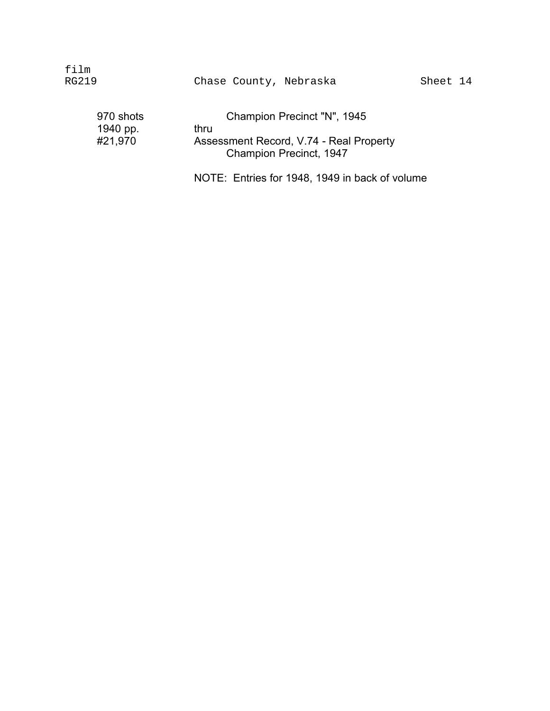| film<br>RG219 |  | Chase County, Nebraska |
|---------------|--|------------------------|
|               |  |                        |

| 970 shots | Champion Precinct "N", 1945             |
|-----------|-----------------------------------------|
| 1940 pp.  | thru                                    |
| #21,970   | Assessment Record, V.74 - Real Property |
|           | Champion Precinct, 1947                 |

NOTE: Entries for 1948, 1949 in back of volume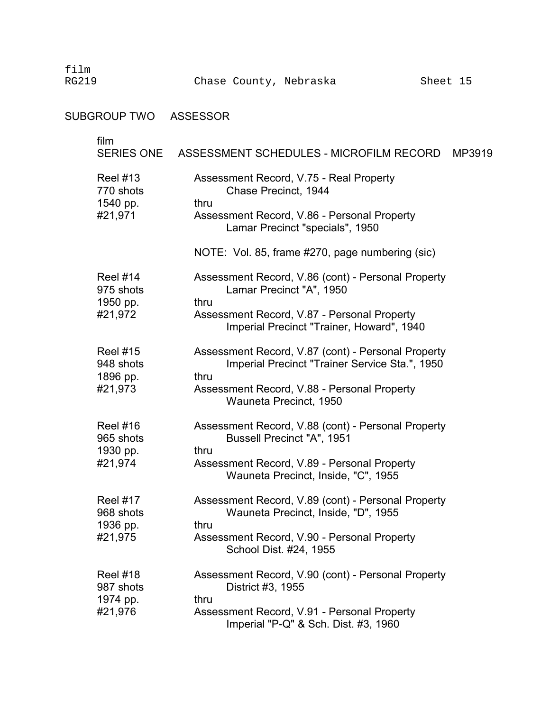## SUBGROUP TWO ASSESSOR

| film                         | SERIES ONE ASSESSMENT SCHEDULES - MICROFILM RECORD<br>MP3919                                         |
|------------------------------|------------------------------------------------------------------------------------------------------|
| <b>Reel #13</b><br>770 shots | Assessment Record, V.75 - Real Property<br>Chase Precinct, 1944                                      |
| 1540 pp.<br>#21,971          | thru<br>Assessment Record, V.86 - Personal Property<br>Lamar Precinct "specials", 1950               |
|                              | NOTE: Vol. 85, frame #270, page numbering (sic)                                                      |
| <b>Reel #14</b><br>975 shots | Assessment Record, V.86 (cont) - Personal Property<br>Lamar Precinct "A", 1950                       |
| 1950 pp.<br>#21,972          | thru<br>Assessment Record, V.87 - Personal Property<br>Imperial Precinct "Trainer, Howard", 1940     |
| <b>Reel #15</b><br>948 shots | Assessment Record, V.87 (cont) - Personal Property<br>Imperial Precinct "Trainer Service Sta.", 1950 |
| 1896 pp.<br>#21,973          | thru<br>Assessment Record, V.88 - Personal Property<br>Wauneta Precinct, 1950                        |
| <b>Reel #16</b><br>965 shots | Assessment Record, V.88 (cont) - Personal Property<br>Bussell Precinct "A", 1951                     |
| 1930 pp.<br>#21,974          | thru<br>Assessment Record, V.89 - Personal Property<br>Wauneta Precinct, Inside, "C", 1955           |
| <b>Reel #17</b><br>968 shots | Assessment Record, V.89 (cont) - Personal Property<br>Wauneta Precinct, Inside, "D", 1955            |
| 1936 pp.<br>#21,975          | thru<br>Assessment Record, V.90 - Personal Property<br>School Dist. #24, 1955                        |
| <b>Reel #18</b><br>987 shots | Assessment Record, V.90 (cont) - Personal Property<br>District #3, 1955                              |
| 1974 pp.<br>#21,976          | thru<br>Assessment Record, V.91 - Personal Property<br>Imperial "P-Q" & Sch. Dist. #3, 1960          |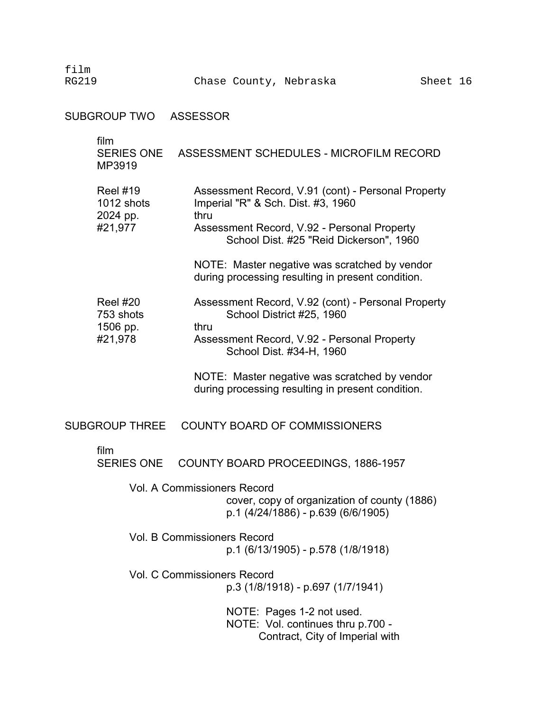film

SUBGROUP TWO ASSESSOR

| film<br><b>SERIES ONE</b><br>MP3919      | ASSESSMENT SCHEDULES - MICROFILM RECORD                                                                           |
|------------------------------------------|-------------------------------------------------------------------------------------------------------------------|
| <b>Reel #19</b><br>1012 shots            | Assessment Record, V.91 (cont) - Personal Property<br>Imperial "R" & Sch. Dist. #3, 1960<br>thru                  |
| 2024 pp.<br>#21,977                      | Assessment Record, V.92 - Personal Property<br>School Dist. #25 "Reid Dickerson", 1960                            |
|                                          | NOTE: Master negative was scratched by vendor<br>during processing resulting in present condition.                |
| <b>Reel #20</b><br>753 shots<br>1506 pp. | Assessment Record, V.92 (cont) - Personal Property<br>School District #25, 1960<br>thru                           |
| #21,978                                  | Assessment Record, V.92 - Personal Property<br>School Dist. #34-H, 1960                                           |
|                                          | NOTE: Master negative was scratched by vendor<br>during processing resulting in present condition.                |
| <b>SUBGROUP THREE</b>                    | <b>COUNTY BOARD OF COMMISSIONERS</b>                                                                              |
| film<br><b>SERIES ONE</b>                | COUNTY BOARD PROCEEDINGS, 1886-1957                                                                               |
|                                          | Vol. A Commissioners Record<br>cover, copy of organization of county (1886)<br>p.1 (4/24/1886) - p.639 (6/6/1905) |
|                                          | <b>Vol. B Commissioners Record</b><br>p.1 (6/13/1905) - p.578 (1/8/1918)                                          |
|                                          | <b>Vol. C Commissioners Record</b><br>p.3 (1/8/1918) - p.697 (1/7/1941)                                           |
|                                          | NOTE: Pages 1-2 not used.<br>NOTE: Vol. continues thru p.700 -<br>Contract, City of Imperial with                 |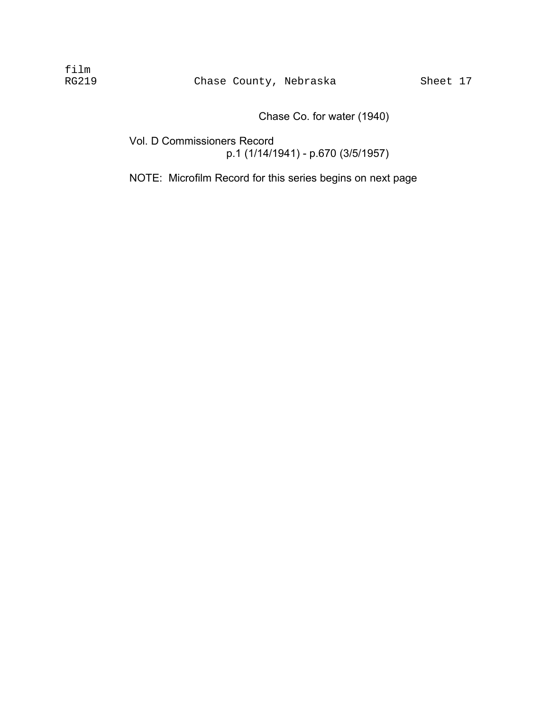Chase Co. for water (1940)

Vol. D Commissioners Record p.1 (1/14/1941) - p.670 (3/5/1957)

NOTE: Microfilm Record for this series begins on next page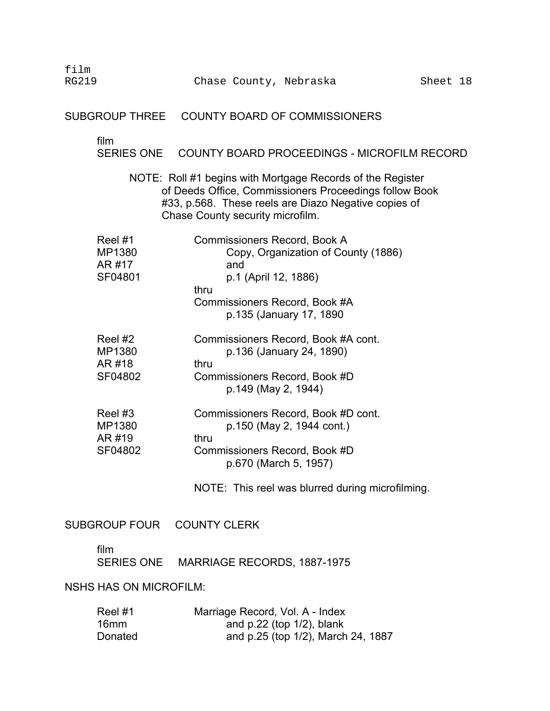film RG219 Chase County, Nebraska Sheet 18 SUBGROUP THREE COUNTY BOARD OF COMMISSIONERS film SERIES ONE COUNTY BOARD PROCEEDINGS - MICROFILM RECORD NOTE: Roll #1 begins with Mortgage Records of the Register of Deeds Office, Commissioners Proceedings follow Book #33, p.568. These reels are Diazo Negative copies of Chase County security microfilm. Reel #1 **Commissioners Record, Book A** MP1380 Copy, Organization of County (1886) AR #17 and SF04801 p.1 (April 12, 1886) thru Commissioners Record, Book #A p.135 (January 17, 1890 Reel #2 Commissioners Record, Book #A cont. MP1380 p.136 (January 24, 1890) AR #18 thru SF04802 Commissioners Record, Book #D p.149 (May 2, 1944) Reel #3 Commissioners Record, Book #D cont. MP1380 p.150 (May 2, 1944 cont.) AR #19 thru SF04802 Commissioners Record, Book #D p.670 (March 5, 1957) NOTE: This reel was blurred during microfilming. SUBGROUP FOUR COUNTY CLERK

film

SERIES ONE MARRIAGE RECORDS, 1887-1975

### NSHS HAS ON MICROFILM:

| Reel#1  | Marriage Record, Vol. A - Index    |
|---------|------------------------------------|
| 16mm    | and $p.22$ (top $1/2$ ), blank     |
| Donated | and p.25 (top 1/2), March 24, 1887 |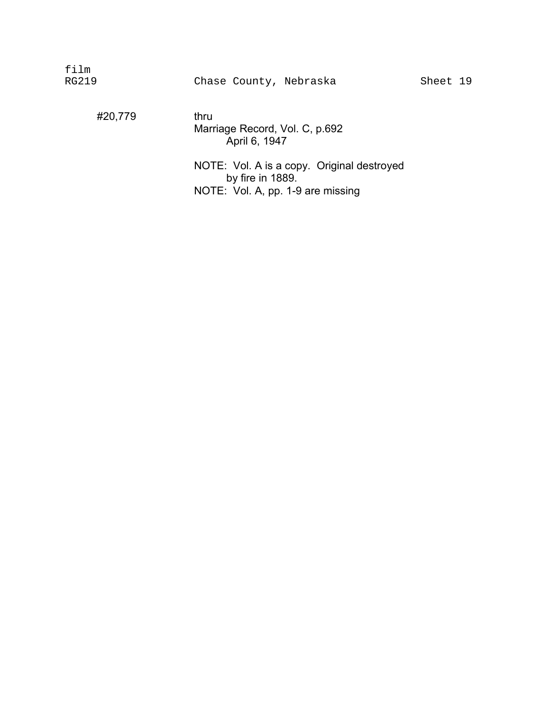#20,779 thru

Marriage Record, Vol. C, p.692 April 6, 1947

NOTE: Vol. A is a copy. Original destroyed by fire in 1889. NOTE: Vol. A, pp. 1-9 are missing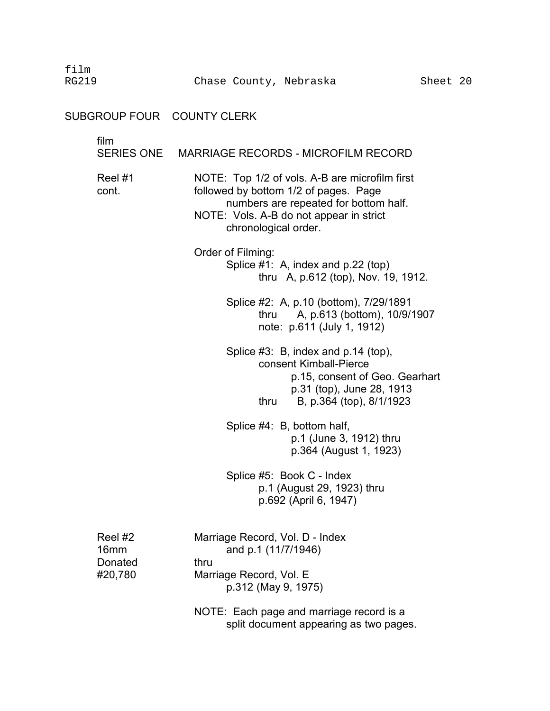film

# SUBGROUP FOUR COUNTY CLERK

| film                                  | SERIES ONE MARRIAGE RECORDS - MICROFILM RECORD                                                                                                                                                      |
|---------------------------------------|-----------------------------------------------------------------------------------------------------------------------------------------------------------------------------------------------------|
| Reel #1<br>cont.                      | NOTE: Top 1/2 of vols. A-B are microfilm first<br>followed by bottom 1/2 of pages. Page<br>numbers are repeated for bottom half.<br>NOTE: Vols. A-B do not appear in strict<br>chronological order. |
|                                       | Order of Filming:<br>Splice #1: A, index and p.22 (top)<br>thru A, p.612 (top), Nov. 19, 1912.                                                                                                      |
|                                       | Splice #2: A, p.10 (bottom), 7/29/1891<br>A, p.613 (bottom), 10/9/1907<br>thru<br>note: p.611 (July 1, 1912)                                                                                        |
|                                       | Splice #3: B, index and p.14 (top),<br>consent Kimball-Pierce<br>p.15, consent of Geo. Gearhart<br>p.31 (top), June 28, 1913<br>B, p.364 (top), 8/1/1923<br>thru                                    |
|                                       | Splice #4: B, bottom half,<br>p.1 (June 3, 1912) thru<br>p.364 (August 1, 1923)                                                                                                                     |
|                                       | Splice #5: Book C - Index<br>p.1 (August 29, 1923) thru<br>p.692 (April 6, 1947)                                                                                                                    |
| Reel #2<br>16mm<br>Donated<br>#20,780 | Marriage Record, Vol. D - Index<br>and p.1 (11/7/1946)<br>thru<br>Marriage Record, Vol. E<br>p.312 (May 9, 1975)                                                                                    |
|                                       | NOTE: Each page and marriage record is a<br>split document appearing as two pages.                                                                                                                  |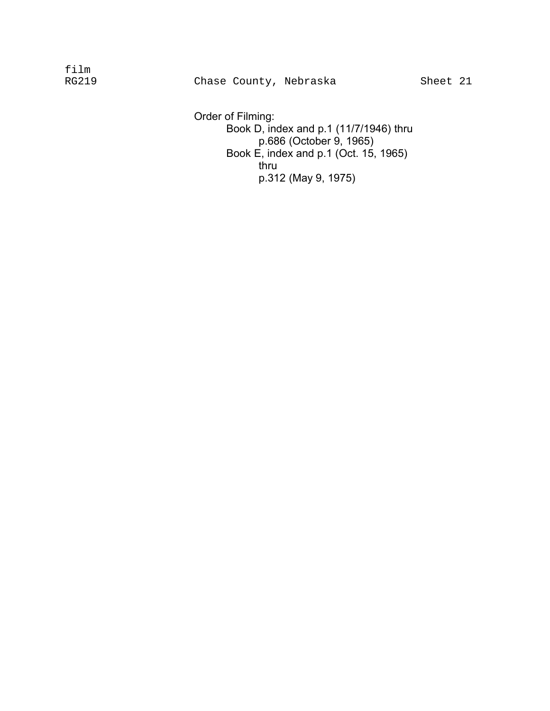Order of Filming: Book D, index and p.1 (11/7/1946) thru p.686 (October 9, 1965) Book E, index and p.1 (Oct. 15, 1965) thru p.312 (May 9, 1975)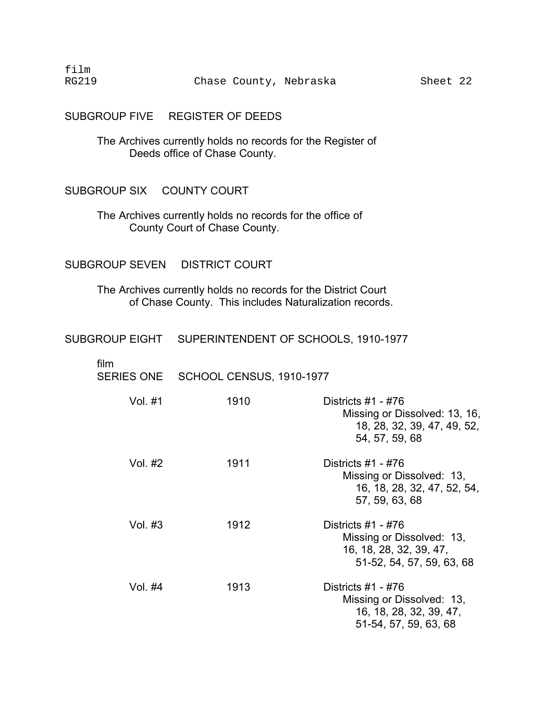SUBGROUP FIVE REGISTER OF DEEDS

The Archives currently holds no records for the Register of Deeds office of Chase County.

#### SUBGROUP SIX COUNTY COURT

The Archives currently holds no records for the office of County Court of Chase County.

### SUBGROUP SEVEN DISTRICT COURT

The Archives currently holds no records for the District Court of Chase County. This includes Naturalization records.

## SUBGROUP EIGHT SUPERINTENDENT OF SCHOOLS, 1910-1977

| film<br><b>SERIES ONE</b> | SCHOOL CENSUS, 1910-1977 |                                                                                                           |
|---------------------------|--------------------------|-----------------------------------------------------------------------------------------------------------|
| Vol. #1                   | 1910                     | Districts #1 - #76<br>Missing or Dissolved: 13, 16,<br>18, 28, 32, 39, 47, 49, 52,<br>54, 57, 59, 68      |
| Vol. $#2$                 | 1911                     | Districts $#1 - #76$<br>Missing or Dissolved: 13,<br>16, 18, 28, 32, 47, 52, 54,<br>57, 59, 63, 68        |
| Vol. #3                   | 1912                     | Districts $#1 - #76$<br>Missing or Dissolved: 13,<br>16, 18, 28, 32, 39, 47,<br>51-52, 54, 57, 59, 63, 68 |
| Vol. #4                   | 1913                     | Districts #1 - #76<br>Missing or Dissolved: 13,<br>16, 18, 28, 32, 39, 47,<br>51-54, 57, 59, 63, 68       |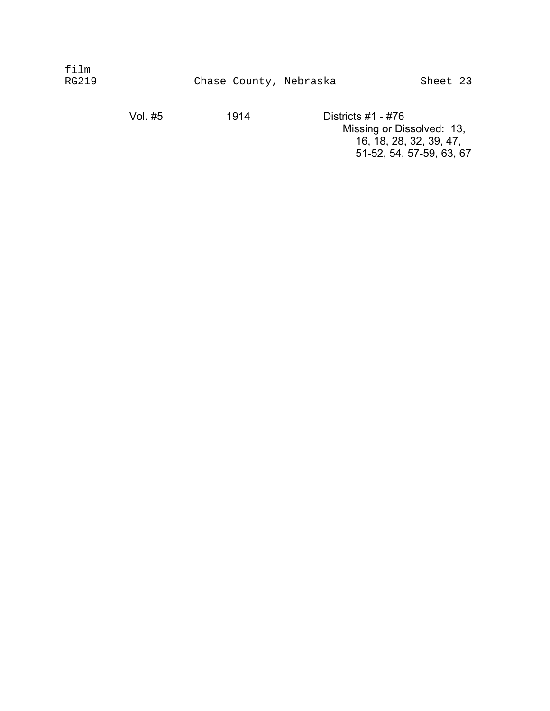| film<br>RG219 |                      | Chase County, Nebraska |                                            | Sheet 23 |  |
|---------------|----------------------|------------------------|--------------------------------------------|----------|--|
|               | \/ <sub>o</sub> l #E | 1011                   | $D_{\text{in}}$ triata $\#4$ $\#7$ $\circ$ |          |  |

Vol. #5 1914 Districts #1 - #76 Missing or Dissolved: 13, 16, 18, 28, 32, 39, 47, 51-52, 54, 57-59, 63, 67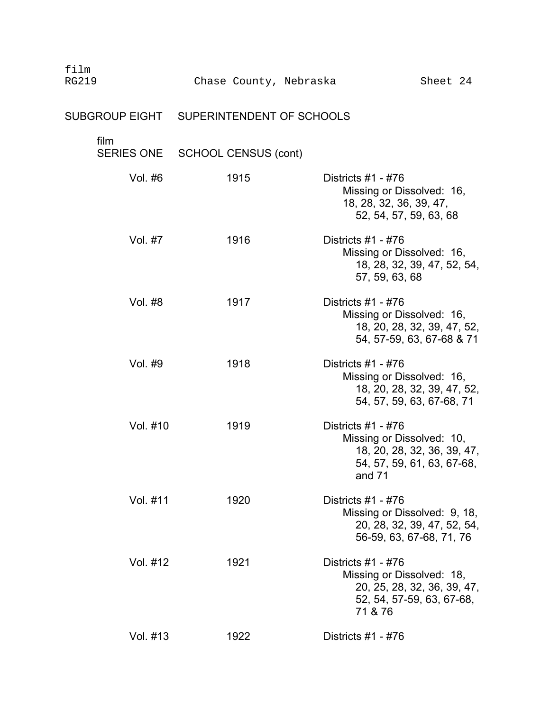| film<br><b>RG219</b> | Chase County, Nebraska                   | Sheet 24                                                                                                                 |
|----------------------|------------------------------------------|--------------------------------------------------------------------------------------------------------------------------|
|                      | SUBGROUP EIGHT SUPERINTENDENT OF SCHOOLS |                                                                                                                          |
| film<br>SERIES ONE   | <b>SCHOOL CENSUS (cont)</b>              |                                                                                                                          |
| Vol. #6              | 1915                                     | Districts $#1 - #76$<br>Missing or Dissolved: 16,<br>18, 28, 32, 36, 39, 47,<br>52, 54, 57, 59, 63, 68                   |
| Vol. #7              | 1916                                     | Districts $#1 - #76$<br>Missing or Dissolved: 16,<br>18, 28, 32, 39, 47, 52, 54,<br>57, 59, 63, 68                       |
| Vol. #8              | 1917                                     | Districts $#1 - #76$<br>Missing or Dissolved: 16,<br>18, 20, 28, 32, 39, 47, 52,<br>54, 57-59, 63, 67-68 & 71            |
| Vol. #9              | 1918                                     | Districts #1 - #76<br>Missing or Dissolved: 16,<br>18, 20, 28, 32, 39, 47, 52,<br>54, 57, 59, 63, 67-68, 71              |
| Vol. #10             | 1919                                     | Districts $#1 - #76$<br>Missing or Dissolved: 10,<br>18, 20, 28, 32, 36, 39, 47,<br>54, 57, 59, 61, 63, 67-68,<br>and 71 |
| Vol. #11             | 1920                                     | Districts $#1 - #76$<br>Missing or Dissolved: 9, 18,<br>20, 28, 32, 39, 47, 52, 54,<br>56-59, 63, 67-68, 71, 76          |
| Vol. #12             | 1921                                     | Districts #1 - #76<br>Missing or Dissolved: 18,<br>20, 25, 28, 32, 36, 39, 47,<br>52, 54, 57-59, 63, 67-68,<br>71 & 76   |
| Vol. #13             | 1922                                     | Districts #1 - #76                                                                                                       |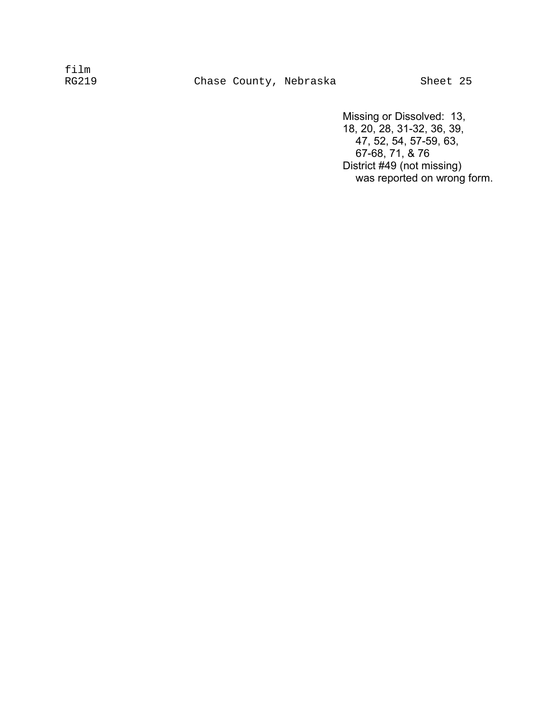Missing or Dissolved: 13, 18, 20, 28, 31-32, 36, 39, 47, 52, 54, 57-59, 63, 67-68, 71, & 76 District #49 (not missing) was reported on wrong form.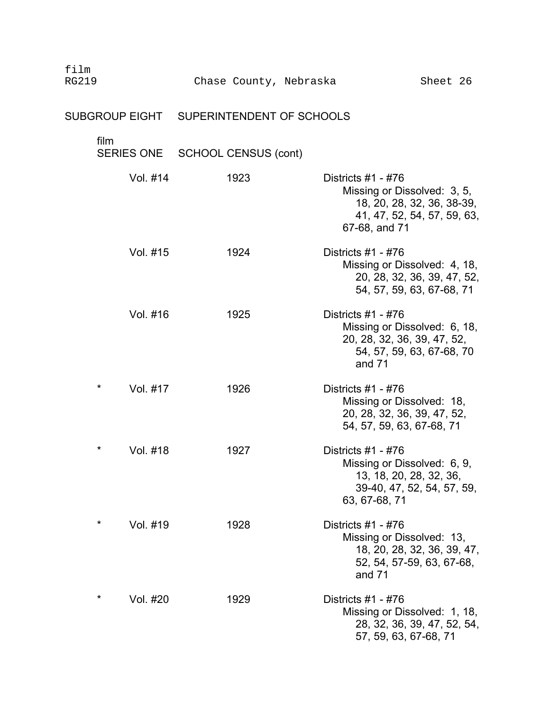# SUBGROUP EIGHT SUPERINTENDENT OF SCHOOLS

| film                 | SERIES ONE SCHOOL CENSUS (cont) |                                                                                                                                 |
|----------------------|---------------------------------|---------------------------------------------------------------------------------------------------------------------------------|
| Vol. #14             | 1923                            | Districts #1 - #76<br>Missing or Dissolved: 3, 5,<br>18, 20, 28, 32, 36, 38-39,<br>41, 47, 52, 54, 57, 59, 63,<br>67-68, and 71 |
| Vol. #15             | 1924                            | Districts #1 - #76<br>Missing or Dissolved: 4, 18,<br>20, 28, 32, 36, 39, 47, 52,<br>54, 57, 59, 63, 67-68, 71                  |
| Vol. #16             | 1925                            | Districts $#1 - #76$<br>Missing or Dissolved: 6, 18,<br>20, 28, 32, 36, 39, 47, 52,<br>54, 57, 59, 63, 67-68, 70<br>and 71      |
| $\star$<br>Vol. #17  | 1926                            | Districts $#1 - #76$<br>Missing or Dissolved: 18,<br>20, 28, 32, 36, 39, 47, 52,<br>54, 57, 59, 63, 67-68, 71                   |
| $\star$<br>Vol. #18  | 1927                            | Districts $#1 - #76$<br>Missing or Dissolved: 6, 9,<br>13, 18, 20, 28, 32, 36,<br>39-40, 47, 52, 54, 57, 59,<br>63, 67-68, 71   |
| *<br>Vol. #19        | 1928                            | Districts #1 - #76<br>Missing or Dissolved: 13,<br>18, 20, 28, 32, 36, 39, 47,<br>52, 54, 57-59, 63, 67-68,<br>and 71           |
| $^\star$<br>Vol. #20 | 1929                            | Districts #1 - #76<br>Missing or Dissolved: 1, 18,<br>28, 32, 36, 39, 47, 52, 54,<br>57, 59, 63, 67-68, 71                      |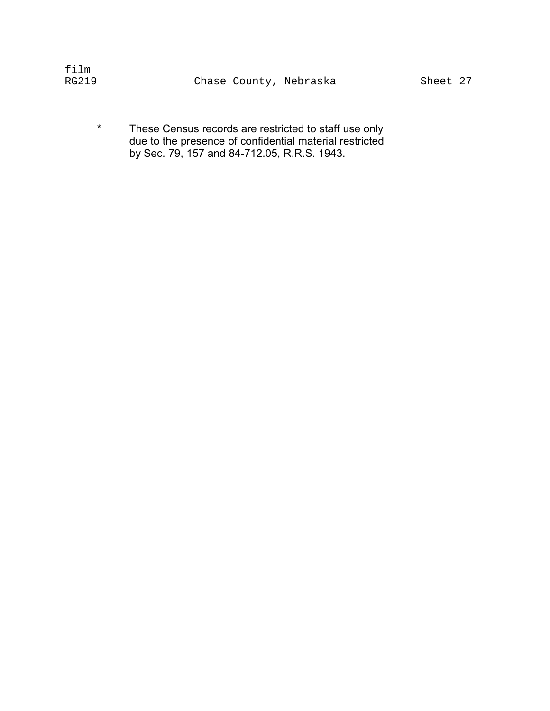| film  |  |                        |          |  |
|-------|--|------------------------|----------|--|
| RG219 |  | Chase County, Nebraska | Sheet 27 |  |

\* These Census records are restricted to staff use only due to the presence of confidential material restricted � by Sec. 79, 157 and 84-712.05, R.R.S. 1943. �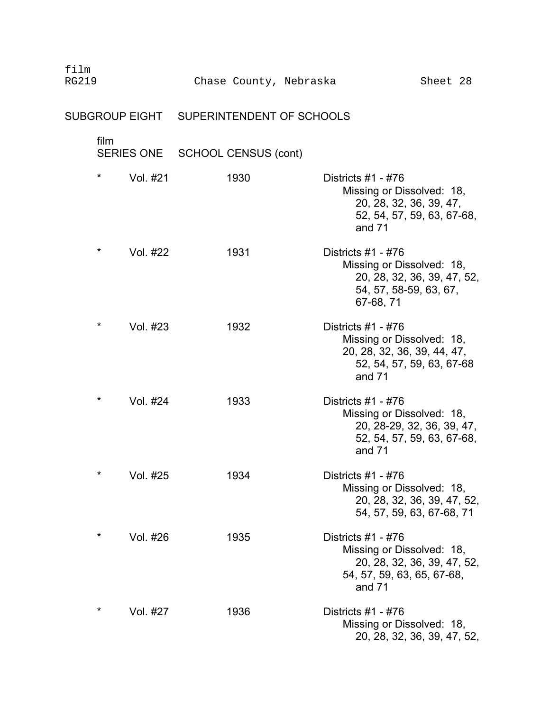| film<br><b>RG219</b>                     | Chase County, Nebraska      | Sheet 28                                                                                                                |
|------------------------------------------|-----------------------------|-------------------------------------------------------------------------------------------------------------------------|
| SUBGROUP EIGHT SUPERINTENDENT OF SCHOOLS |                             |                                                                                                                         |
| film<br>SERIES ONE                       | <b>SCHOOL CENSUS (cont)</b> |                                                                                                                         |
| $\star$<br>Vol. #21                      | 1930                        | Districts $#1 - #76$<br>Missing or Dissolved: 18,<br>20, 28, 32, 36, 39, 47,<br>52, 54, 57, 59, 63, 67-68,<br>and $71$  |
| $\star$<br>Vol. #22                      | 1931                        | Districts $#1 - #76$<br>Missing or Dissolved: 18,<br>20, 28, 32, 36, 39, 47, 52,<br>54, 57, 58-59, 63, 67,<br>67-68, 71 |
| $^\star$<br>Vol. #23                     | 1932                        | Districts $#1 - #76$<br>Missing or Dissolved: 18,<br>20, 28, 32, 36, 39, 44, 47,<br>52, 54, 57, 59, 63, 67-68<br>and 71 |
| $^\star$<br>Vol. #24                     | 1933                        | Districts $#1 - #76$<br>Missing or Dissolved: 18,<br>20, 28-29, 32, 36, 39, 47,<br>52, 54, 57, 59, 63, 67-68,<br>and 71 |
| $^\star$<br>Vol. #25                     | 1934                        | Districts #1 - #76<br>Missing or Dissolved: 18,<br>20, 28, 32, 36, 39, 47, 52,<br>54, 57, 59, 63, 67-68, 71             |
| $\star$<br>Vol. #26                      | 1935                        | Districts #1 - #76<br>Missing or Dissolved: 18,<br>20, 28, 32, 36, 39, 47, 52,<br>54, 57, 59, 63, 65, 67-68,<br>and 71  |
| $^\star$<br>Vol. #27                     | 1936                        | Districts #1 - #76<br>Missing or Dissolved: 18,<br>20, 28, 32, 36, 39, 47, 52,                                          |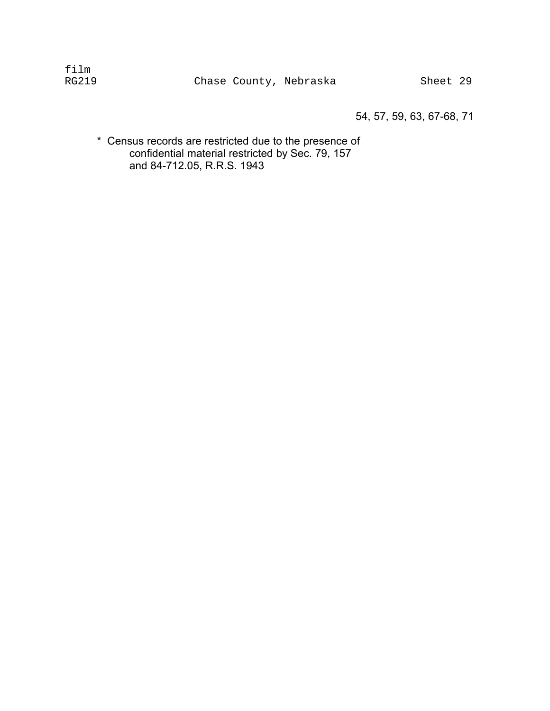54, 57, 59, 63, 67-68, 71

\* Census records are restricted due to the presence of confidential material restricted by Sec. 79, 157 and 84-712.05, R.R.S. 1943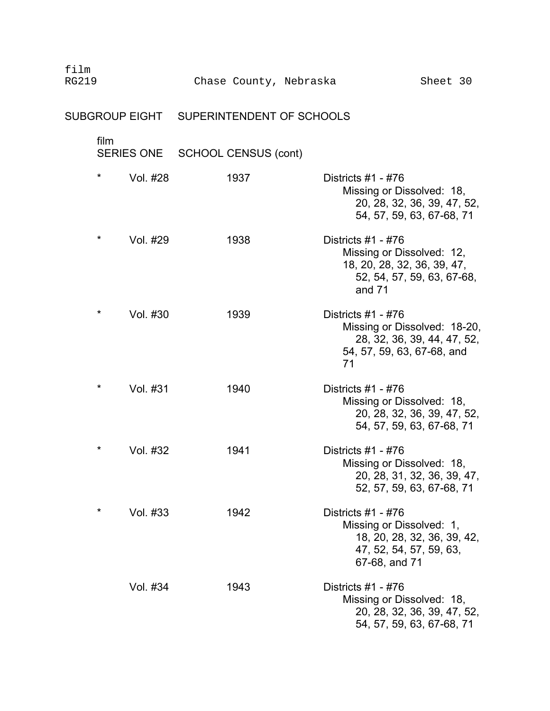| film<br><b>RG219</b>                     | Chase County, Nebraska      | Sheet 30                                                                                                                    |
|------------------------------------------|-----------------------------|-----------------------------------------------------------------------------------------------------------------------------|
| SUBGROUP EIGHT SUPERINTENDENT OF SCHOOLS |                             |                                                                                                                             |
| film<br><b>SERIES ONE</b>                | <b>SCHOOL CENSUS (cont)</b> |                                                                                                                             |
| $\star$<br>Vol. #28                      | 1937                        | Districts $#1 - #76$<br>Missing or Dissolved: 18,<br>20, 28, 32, 36, 39, 47, 52,<br>54, 57, 59, 63, 67-68, 71               |
| *<br>Vol. #29                            | 1938                        | Districts $#1 - #76$<br>Missing or Dissolved: 12,<br>18, 20, 28, 32, 36, 39, 47,<br>52, 54, 57, 59, 63, 67-68,<br>and $71$  |
| $^\star$<br>Vol. #30                     | 1939                        | Districts $#1 - #76$<br>Missing or Dissolved: 18-20,<br>28, 32, 36, 39, 44, 47, 52,<br>54, 57, 59, 63, 67-68, and<br>71     |
| $\star$<br>Vol. #31                      | 1940                        | Districts $#1 - #76$<br>Missing or Dissolved: 18,<br>20, 28, 32, 36, 39, 47, 52,<br>54, 57, 59, 63, 67-68, 71               |
| $\star$<br>Vol. #32                      | 1941                        | Districts $#1 - #76$<br>Missing or Dissolved: 18,<br>20, 28, 31, 32, 36, 39, 47,<br>52, 57, 59, 63, 67-68, 71               |
| *<br>Vol. #33                            | 1942                        | Districts $#1 - #76$<br>Missing or Dissolved: 1,<br>18, 20, 28, 32, 36, 39, 42,<br>47, 52, 54, 57, 59, 63,<br>67-68, and 71 |
| Vol. #34                                 | 1943                        | Districts $#1 - #76$<br>Missing or Dissolved: 18,<br>20, 28, 32, 36, 39, 47, 52,<br>54, 57, 59, 63, 67-68, 71               |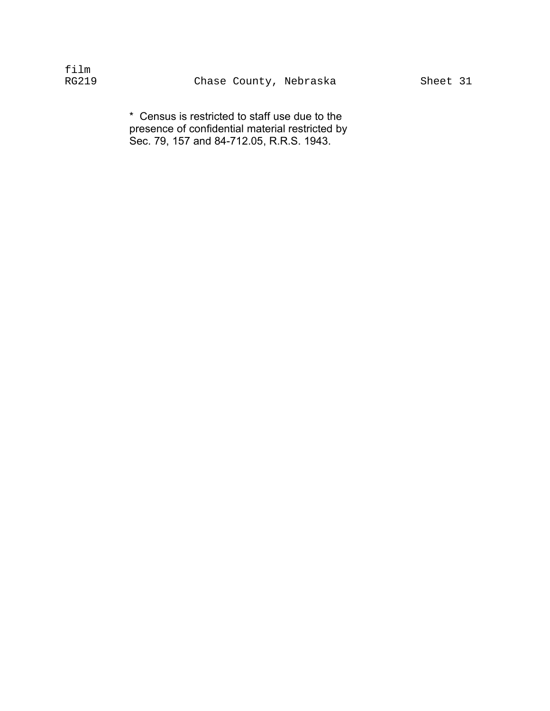| film  |  |
|-------|--|
| RG219 |  |

\* Census is restricted to staff use due to the presence of confidential material restricted by Sec. 79, 157 and 84-712.05, R.R.S. 1943.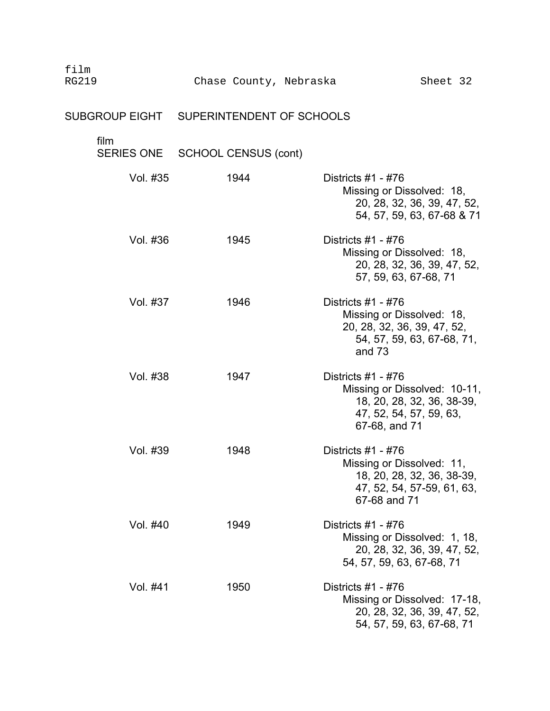|                           | SUBGROUP EIGHT  SUPERINTENDENT OF SCHOOLS |                                                                                                                                |
|---------------------------|-------------------------------------------|--------------------------------------------------------------------------------------------------------------------------------|
| film<br><b>SERIES ONE</b> | <b>SCHOOL CENSUS (cont)</b>               |                                                                                                                                |
| Vol. #35                  | 1944                                      | Districts $#1 - #76$<br>Missing or Dissolved: 18,<br>20, 28, 32, 36, 39, 47, 52,<br>54, 57, 59, 63, 67-68 & 71                 |
| Vol. #36                  | 1945                                      | Districts $#1 - #76$<br>Missing or Dissolved: 18,<br>20, 28, 32, 36, 39, 47, 52,<br>57, 59, 63, 67-68, 71                      |
| Vol. #37                  | 1946                                      | Districts $#1 - #76$<br>Missing or Dissolved: 18,<br>20, 28, 32, 36, 39, 47, 52,<br>54, 57, 59, 63, 67-68, 71,<br>and 73       |
| Vol. #38                  | 1947                                      | Districts $#1 - #76$<br>Missing or Dissolved: 10-11,<br>18, 20, 28, 32, 36, 38-39,<br>47, 52, 54, 57, 59, 63,<br>67-68, and 71 |
| Vol. #39                  | 1948                                      | Districts $#1 - #76$<br>Missing or Dissolved: 11,<br>18, 20, 28, 32, 36, 38-39,<br>47, 52, 54, 57-59, 61, 63,<br>67-68 and 71  |
| Vol. #40                  | 1949                                      | Districts $#1 - #76$<br>Missing or Dissolved: 1, 18,<br>20, 28, 32, 36, 39, 47, 52,<br>54, 57, 59, 63, 67-68, 71               |
| Vol. #41                  | 1950                                      | Districts $#1 - #76$<br>Missing or Dissolved: 17-18,<br>20, 28, 32, 36, 39, 47, 52,<br>54, 57, 59, 63, 67-68, 71               |

Chase County, Nebraska Sheet 32

film<br>RG219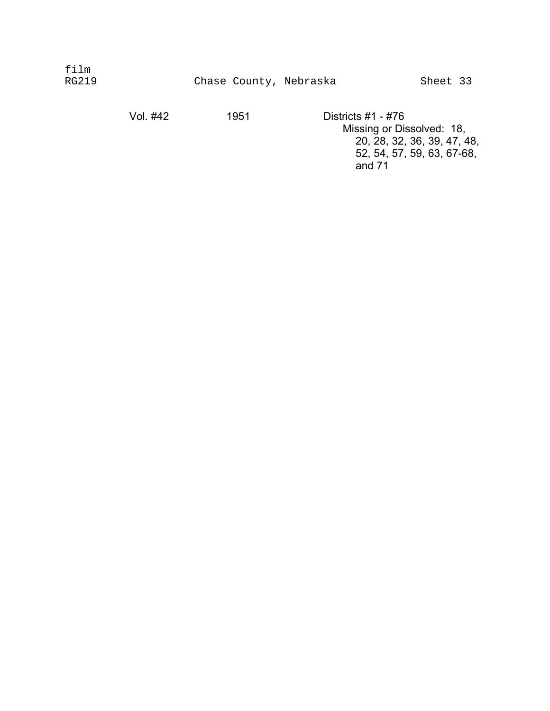| film<br><b>RG219</b> |          | Chase County, Nebraska |                                                 |                             |
|----------------------|----------|------------------------|-------------------------------------------------|-----------------------------|
|                      | Vol. #42 | 1951                   | Districts #1 - #76<br>Missing or Dissolved: 18, | 20, 28, 32, 36, 39, 47, 48, |

52, 54, 57, 59, 63, 67-68,

and 71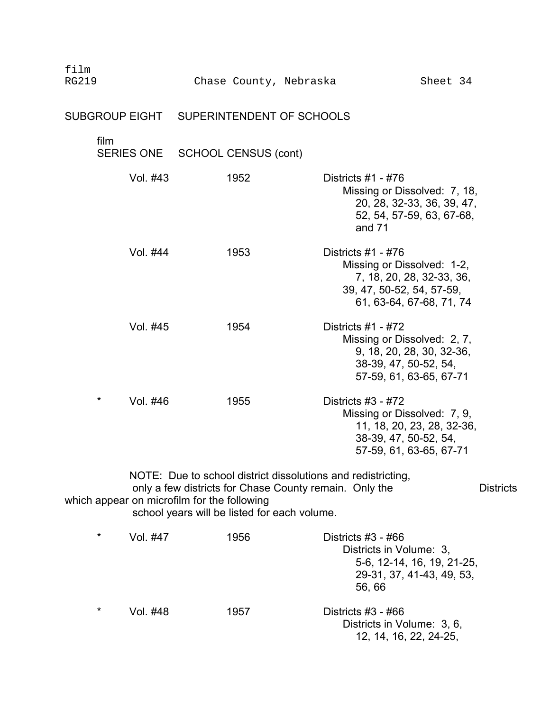| film<br><b>RG219</b>                        |                   |                             |      | Chase County, Nebraska                                                                                                                                                 | Sheet 34                                                                                                                                 |                  |
|---------------------------------------------|-------------------|-----------------------------|------|------------------------------------------------------------------------------------------------------------------------------------------------------------------------|------------------------------------------------------------------------------------------------------------------------------------------|------------------|
|                                             |                   |                             |      | SUBGROUP EIGHT SUPERINTENDENT OF SCHOOLS                                                                                                                               |                                                                                                                                          |                  |
| film                                        | <b>SERIES ONE</b> | <b>SCHOOL CENSUS (cont)</b> |      |                                                                                                                                                                        |                                                                                                                                          |                  |
|                                             | Vol. #43          |                             | 1952 |                                                                                                                                                                        | Districts $#1 - #76$<br>Missing or Dissolved: 7, 18,<br>20, 28, 32-33, 36, 39, 47,<br>52, 54, 57-59, 63, 67-68,<br>and $71$              |                  |
|                                             | Vol. #44          |                             | 1953 |                                                                                                                                                                        | Districts $#1 - #76$<br>Missing or Dissolved: 1-2,<br>7, 18, 20, 28, 32-33, 36,<br>39, 47, 50-52, 54, 57-59,<br>61, 63-64, 67-68, 71, 74 |                  |
|                                             | Vol. #45          |                             | 1954 |                                                                                                                                                                        | Districts $#1 - #72$<br>Missing or Dissolved: 2, 7,<br>9, 18, 20, 28, 30, 32-36,<br>38-39, 47, 50-52, 54,<br>57-59, 61, 63-65, 67-71     |                  |
| $\star$                                     | Vol. #46          |                             | 1955 |                                                                                                                                                                        | Districts #3 - #72<br>Missing or Dissolved: 7, 9,<br>11, 18, 20, 23, 28, 32-36,<br>38-39, 47, 50-52, 54,<br>57-59, 61, 63-65, 67-71      |                  |
| which appear on microfilm for the following |                   |                             |      | NOTE: Due to school district dissolutions and redistricting,<br>only a few districts for Chase County remain. Only the<br>school years will be listed for each volume. |                                                                                                                                          | <b>Districts</b> |
| $\star$                                     | Vol. #47          |                             | 1956 |                                                                                                                                                                        | Districts $#3 - #66$<br>Districts in Volume: 3,<br>5-6, 12-14, 16, 19, 21-25,<br>29-31, 37, 41-43, 49, 53,<br>56,66                      |                  |
| $\star$                                     | Vol. #48          |                             | 1957 |                                                                                                                                                                        | Districts #3 - #66<br>Districts in Volume: 3, 6,<br>12, 14, 16, 22, 24-25,                                                               |                  |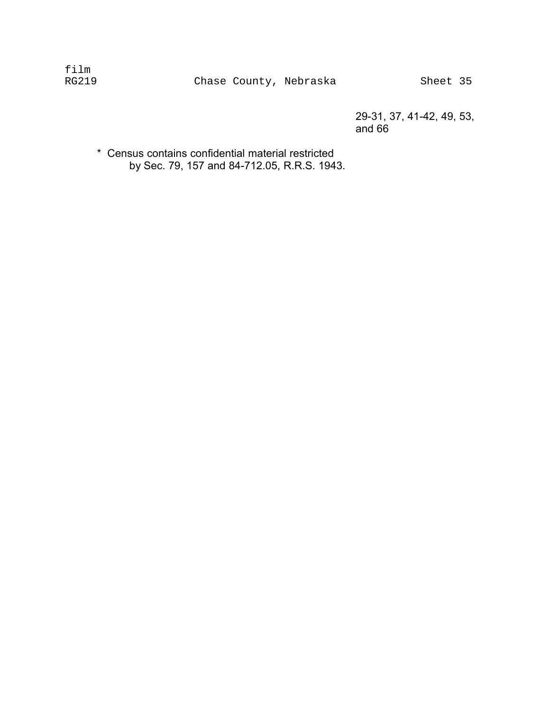29-31, 37, 41-42, 49, 53, and 66

\* Census contains confidential material restricted � by Sec. 79, 157 and 84-712.05, R.R.S. 1943.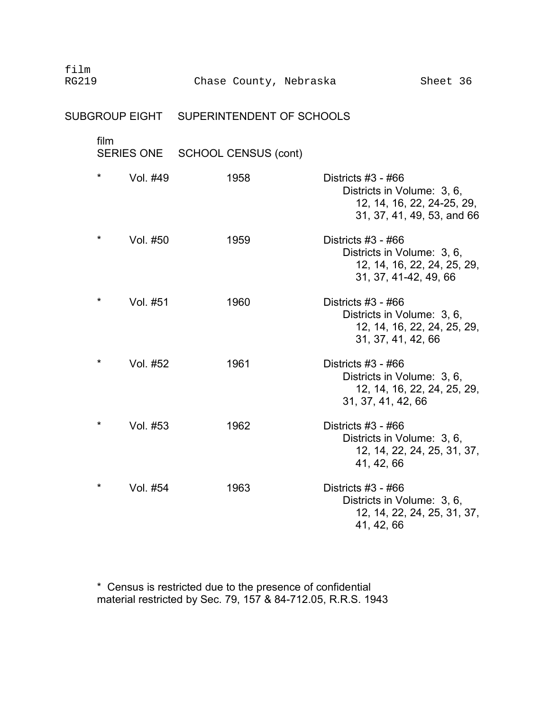| film<br><b>RG219</b> |         |          | Chase County, Nebraska                   |                                                                        | Sheet 36                                                 |  |
|----------------------|---------|----------|------------------------------------------|------------------------------------------------------------------------|----------------------------------------------------------|--|
|                      |         |          | SUBGROUP EIGHT SUPERINTENDENT OF SCHOOLS |                                                                        |                                                          |  |
|                      | film    |          | SERIES ONE SCHOOL CENSUS (cont)          |                                                                        |                                                          |  |
|                      | $\star$ | Vol. #49 | 1958                                     | Districts $#3 - #66$<br>Districts in Volume: 3, 6,                     | 12, 14, 16, 22, 24-25, 29,<br>31, 37, 41, 49, 53, and 66 |  |
|                      | $\star$ | Vol. #50 | 1959                                     | Districts $#3 - #66$<br>Districts in Volume: 3, 6,                     | 12, 14, 16, 22, 24, 25, 29,<br>31, 37, 41-42, 49, 66     |  |
|                      | $\star$ | Vol. #51 | 1960                                     | Districts #3 - #66<br>Districts in Volume: 3, 6,<br>31, 37, 41, 42, 66 | 12, 14, 16, 22, 24, 25, 29,                              |  |
|                      | $\star$ | Vol. #52 | 1961                                     | Districts #3 - #66<br>Districts in Volume: 3, 6,<br>31, 37, 41, 42, 66 | 12, 14, 16, 22, 24, 25, 29,                              |  |
|                      | $\star$ | Vol. #53 | 1962                                     | Districts $#3 - #66$<br>Districts in Volume: 3, 6,<br>41, 42, 66       | 12, 14, 22, 24, 25, 31, 37,                              |  |
|                      | *       | Vol. #54 | 1963                                     | Districts #3 - #66<br>Districts in Volume: 3, 6,<br>41, 42, 66         | 12, 14, 22, 24, 25, 31, 37,                              |  |

\* Census is restricted due to the presence of confidential � material restricted by Sec. 79, 157 & 84-712.05, R.R.S. 1943 �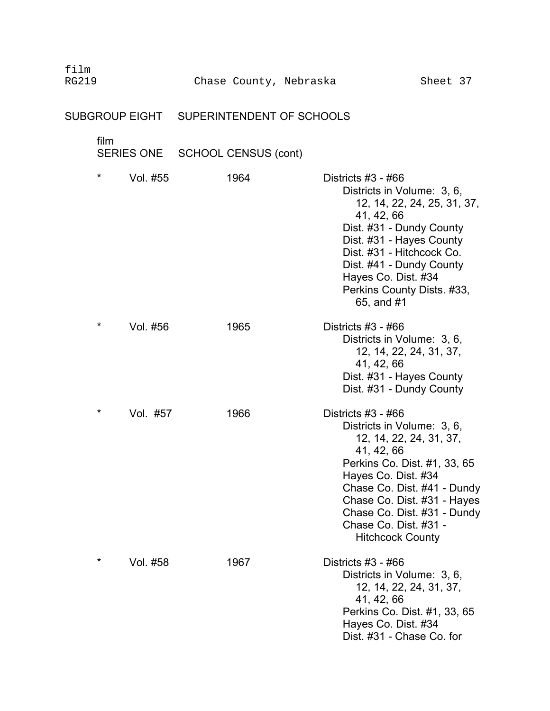|         | SUBGROUP EIGHT    | SUPERINTENDENT OF SCHOOLS   |                                                                                                                                                                                                                                                                                                   |
|---------|-------------------|-----------------------------|---------------------------------------------------------------------------------------------------------------------------------------------------------------------------------------------------------------------------------------------------------------------------------------------------|
| film    | <b>SERIES ONE</b> | <b>SCHOOL CENSUS (cont)</b> |                                                                                                                                                                                                                                                                                                   |
| $\star$ | Vol. #55          | 1964                        | Districts $#3 - #66$<br>Districts in Volume: 3, 6,<br>12, 14, 22, 24, 25, 31, 37,<br>41, 42, 66<br>Dist. #31 - Dundy County<br>Dist. #31 - Hayes County<br>Dist. #31 - Hitchcock Co.<br>Dist. #41 - Dundy County<br>Hayes Co. Dist. #34<br>Perkins County Dists. #33,<br>65, and #1               |
| $\star$ | Vol. #56          | 1965                        | Districts #3 - #66<br>Districts in Volume: 3, 6,<br>12, 14, 22, 24, 31, 37,<br>41, 42, 66<br>Dist. #31 - Hayes County<br>Dist. #31 - Dundy County                                                                                                                                                 |
| $\star$ | Vol. #57          | 1966                        | Districts #3 - #66<br>Districts in Volume: 3, 6,<br>12, 14, 22, 24, 31, 37,<br>41, 42, 66<br>Perkins Co. Dist. #1, 33, 65<br>Hayes Co. Dist. #34<br>Chase Co. Dist. #41 - Dundy<br>Chase Co. Dist. #31 - Hayes<br>Chase Co. Dist. #31 - Dundy<br>Chase Co. Dist. #31 -<br><b>Hitchcock County</b> |

\* Vol. #58 1967 Districts #3 - #66

film

Districts in Volume: 3, 6, 12, 14, 22, 24, 31, 37,

Perkins Co. Dist. #1, 33, 65

41, 42, 66

Hayes Co. Dist. #34 Dist. #31 - Chase Co. for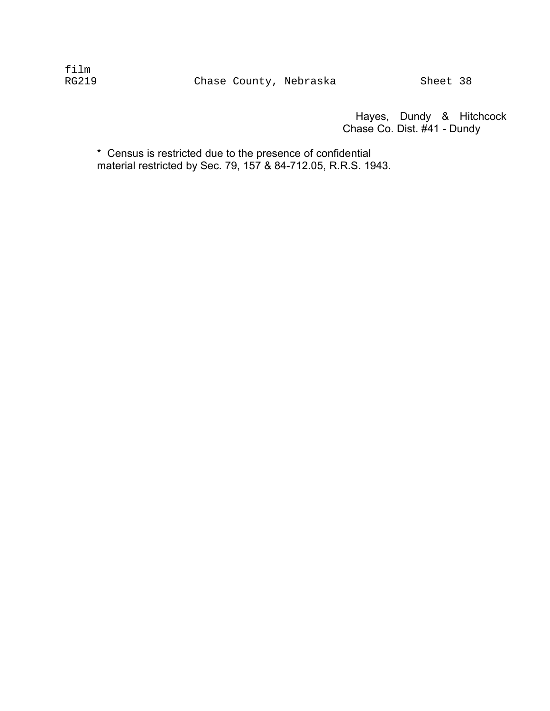Hayes, Dundy & Hitchcock Chase Co. Dist. #41 - Dundy

\* Census is restricted due to the presence of confidential � material restricted by Sec. 79, 157 & 84-712.05, R.R.S. 1943. �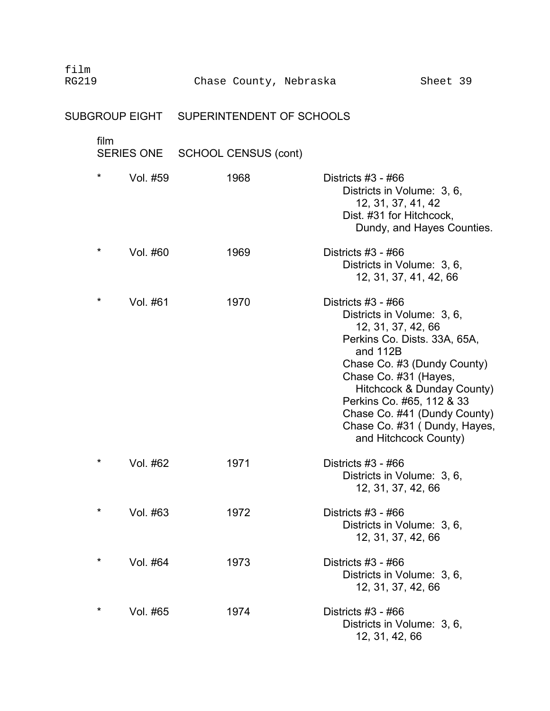| film<br><b>RG219</b> | Chase County, Nebraska                   | Sheet 39                                                                                                                                                                                                                                                                                                                         |
|----------------------|------------------------------------------|----------------------------------------------------------------------------------------------------------------------------------------------------------------------------------------------------------------------------------------------------------------------------------------------------------------------------------|
|                      | SUBGROUP EIGHT SUPERINTENDENT OF SCHOOLS |                                                                                                                                                                                                                                                                                                                                  |
| film                 | SERIES ONE SCHOOL CENSUS (cont)          |                                                                                                                                                                                                                                                                                                                                  |
| $\star$<br>Vol. #59  | 1968                                     | Districts #3 - #66<br>Districts in Volume: 3, 6,<br>12, 31, 37, 41, 42<br>Dist. #31 for Hitchcock,<br>Dundy, and Hayes Counties.                                                                                                                                                                                                 |
| $\star$<br>Vol. #60  | 1969                                     | Districts $#3 - #66$<br>Districts in Volume: 3, 6,<br>12, 31, 37, 41, 42, 66                                                                                                                                                                                                                                                     |
| *<br>Vol. #61        | 1970                                     | Districts $#3 - #66$<br>Districts in Volume: 3, 6,<br>12, 31, 37, 42, 66<br>Perkins Co. Dists. 33A, 65A,<br>and 112B<br>Chase Co. #3 (Dundy County)<br>Chase Co. #31 (Hayes,<br>Hitchcock & Dunday County)<br>Perkins Co. #65, 112 & 33<br>Chase Co. #41 (Dundy County)<br>Chase Co. #31 (Dundy, Hayes,<br>and Hitchcock County) |
| $^\star$<br>Vol. #62 | 1971                                     | Districts #3 - #66<br>Districts in Volume: 3, 6,<br>12, 31, 37, 42, 66                                                                                                                                                                                                                                                           |
| $\star$<br>Vol. #63  | 1972                                     | Districts $#3 - #66$<br>Districts in Volume: 3, 6,<br>12, 31, 37, 42, 66                                                                                                                                                                                                                                                         |
| $\ast$<br>Vol. #64   | 1973                                     | Districts #3 - #66<br>Districts in Volume: 3, 6,<br>12, 31, 37, 42, 66                                                                                                                                                                                                                                                           |
| $\star$<br>Vol. #65  | 1974                                     | Districts #3 - #66<br>Districts in Volume: 3, 6,<br>12, 31, 42, 66                                                                                                                                                                                                                                                               |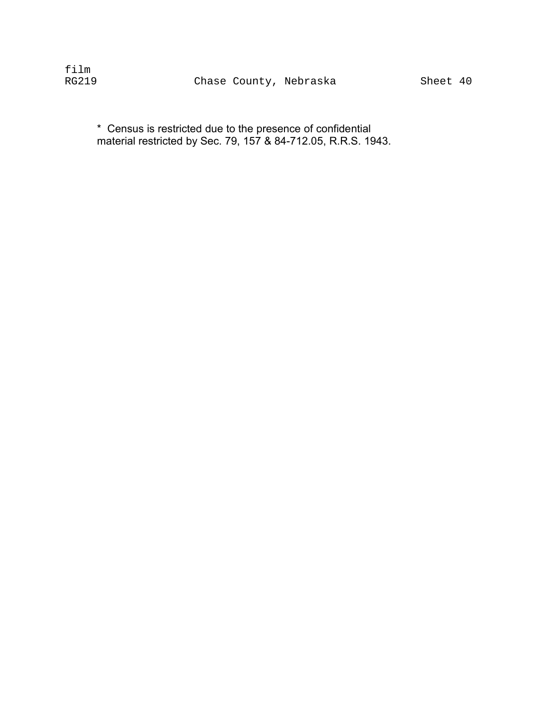\* Census is restricted due to the presence of confidential � material restricted by Sec. 79, 157 & 84-712.05, R.R.S. 1943. �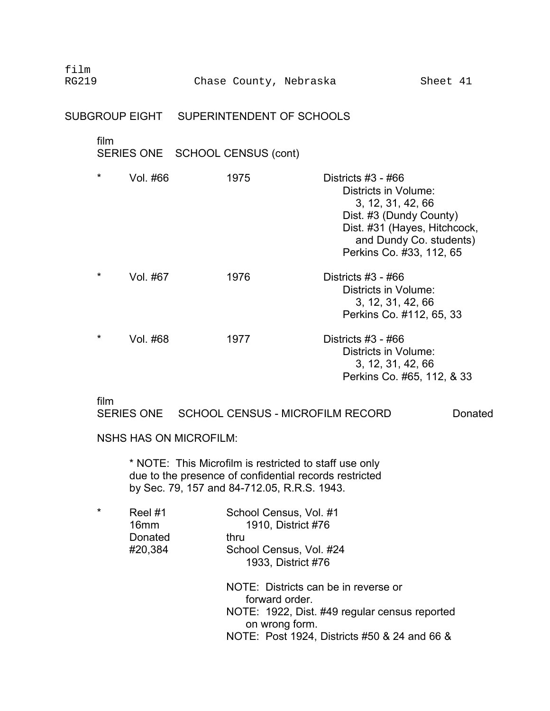## SUBGROUP EIGHT SUPERINTENDENT OF SCHOOLS

| film                             |                                                    |                       |  |
|----------------------------------|----------------------------------------------------|-----------------------|--|
|                                  | SERIES ONE SCHOOL CENSUS (cont)                    |                       |  |
| $\frac{1}{2}$<br>$\overline{11}$ | $\lambda$ $\cap$ $\overline{\phantom{0}}$ $\Gamma$ | <b>DULLLIL HO</b> HOO |  |

| $\mathbf{x}$ | Vol. #66 | 1975 | Districts #3 - #66           |
|--------------|----------|------|------------------------------|
|              |          |      | Districts in Volume:         |
|              |          |      | 3, 12, 31, 42, 66            |
|              |          |      | Dist. #3 (Dundy County)      |
|              |          |      | Dist. #31 (Hayes, Hitchcock, |
|              |          |      | and Dundy Co. students)      |
|              |          |      | Perkins Co. #33, 112, 65     |
| $\star$      | Vol. #67 | 1976 | Districts $#3 - #66$         |
|              |          |      | Districts in Volume:         |
|              |          |      | 3, 12, 31, 42, 66            |
|              |          |      | Perkins Co. #112, 65, 33     |
| $\star$      | Vol. #68 | 1977 | Districts $#3 - #66$         |
|              |          |      | Districts in Volume:         |
|              |          |      | 3, 12, 31, 42, 66            |
|              |          |      | Perkins Co. #65, 112, & 33   |

### film

SERIES ONE SCHOOL CENSUS - MICROFILM RECORD Donated

#### NSHS HAS ON MICROFILM:

\* NOTE: This Microfilm is restricted to staff use only due to the presence of confidential records restricted by Sec. 79, 157 and 84-712.05, R.R.S. 1943.

| * | Reel #1          | School Census, Vol. #1                                 |
|---|------------------|--------------------------------------------------------|
|   | 16 <sub>mm</sub> | 1910, District #76                                     |
|   | Donated          | thru                                                   |
|   | #20,384          | School Census, Vol. #24                                |
|   |                  | 1933, District #76                                     |
|   |                  | NOTE: Districts can be in reverse or<br>forward order. |
|   |                  | NOTE: 1922, Dist. #49 regular census reported          |
|   |                  | on wrong form.                                         |

NOTE: Post 1924, Districts #50 & 24 and 66 &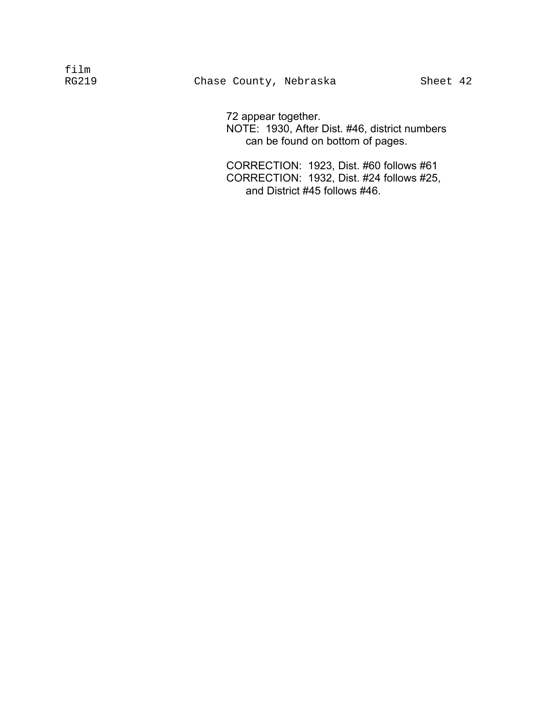72 appear together. NOTE: 1930, After Dist. #46, district numbers can be found on bottom of pages.

CORRECTION: 1923, Dist. #60 follows #61 CORRECTION: 1932, Dist. #24 follows #25, and District #45 follows #46.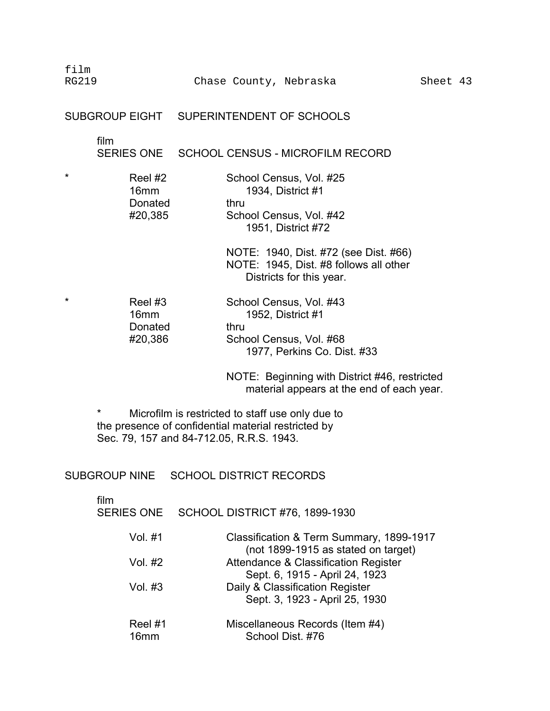film RG219 Chase County, Nebraska Sheet 43

### SUBGROUP EIGHT SUPERINTENDENT OF SCHOOLS

film

SERIES ONE SCHOOL CENSUS - MICROFILM RECORD

| Reel #2 | School Census, Vol. #25                       |
|---------|-----------------------------------------------|
| 16mm    | 1934, District #1                             |
| Donated | thru                                          |
| #20,385 | School Census, Vol. #42<br>1951, District #72 |
|         |                                               |

NOTE: 1940, Dist. #72 (see Dist. #66) NOTE: 1945, Dist. #8 follows all other Districts for this year.

| $\star$ | Reel #3          | School Census, Vol. #43     |
|---------|------------------|-----------------------------|
|         | 16 <sub>mm</sub> | 1952, District #1           |
|         | Donated          | thru                        |
|         | #20,386          | School Census, Vol. #68     |
|         |                  | 1977, Perkins Co. Dist. #33 |

NOTE: Beginning with District #46, restricted material appears at the end of each year.

\* Microfilm is restricted to staff use only due to the presence of confidential material restricted by Sec. 79, 157 and 84-712.05, R.R.S. 1943.

SUBGROUP NINE SCHOOL DISTRICT RECORDS

| film<br><b>SERIES ONE</b>   | <b>SCHOOL DISTRICT #76, 1899-1930</b>                                           |
|-----------------------------|---------------------------------------------------------------------------------|
| Vol. #1                     | Classification & Term Summary, 1899-1917<br>(not 1899-1915 as stated on target) |
| Vol. #2                     | Attendance & Classification Register<br>Sept. 6, 1915 - April 24, 1923          |
| Vol. #3                     | Daily & Classification Register<br>Sept. 3, 1923 - April 25, 1930               |
| Reel #1<br>16 <sub>mm</sub> | Miscellaneous Records (Item #4)<br>School Dist. #76                             |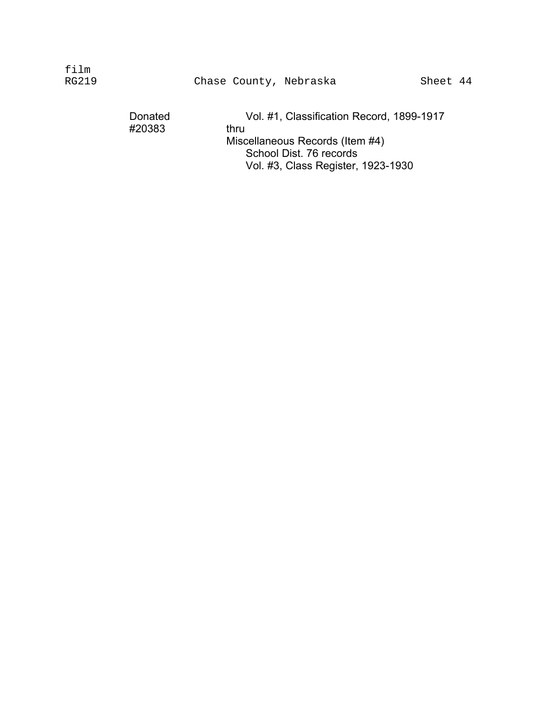| $f$ ilm<br>RG219 |                   | Chase County, Nebraska                                                                                                                                |  | Sheet 44 |
|------------------|-------------------|-------------------------------------------------------------------------------------------------------------------------------------------------------|--|----------|
|                  | Donated<br>#20383 | Vol. #1, Classification Record, 1899-1917<br>thru<br>Miscellaneous Records (Item #4)<br>School Dist. 76 records<br>Vol. #3, Class Register, 1923-1930 |  |          |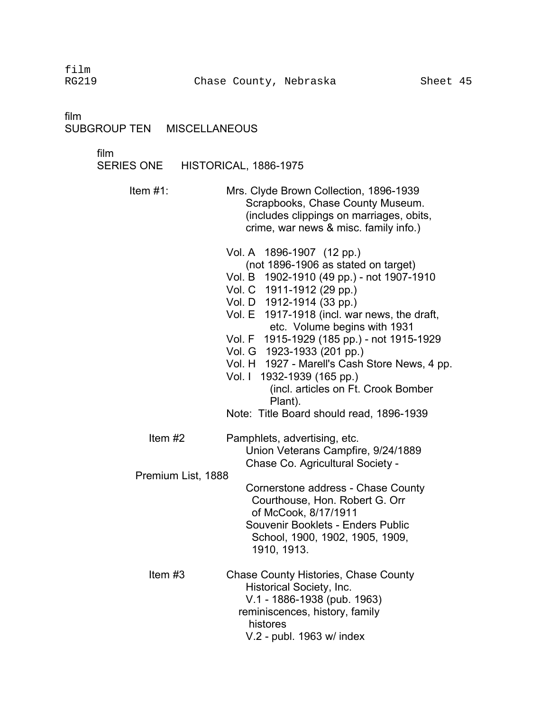film

film

### SUBGROUP TEN MISCELLANEOUS

film

| SERIES ONE | HISTORICAL, 1886-1975 |  |
|------------|-----------------------|--|
|------------|-----------------------|--|

Item #1: Mrs. Clyde Brown Collection, 1896-1939 Scrapbooks, Chase County Museum. (includes clippings on marriages, obits, crime, war news & misc. family info.)

Vol. A 1896-1907 (12 pp.) (not 1896-1906 as stated on target) Vol. B 1902-1910 (49 pp.) - not 1907-1910 Vol. C 1911-1912 (29 pp.) Vol. D 1912-1914 (33 pp.) Vol. E 1917-1918 (incl. war news, the draft, etc. Volume begins with 1931 Vol. F 1915-1929 (185 pp.) - not 1915-1929 Vol. G 1923-1933 (201 pp.) Vol. H 1927 - Marell's Cash Store News, 4 pp. Vol. I 1932-1939 (165 pp.) (incl. articles on Ft. Crook Bomber Plant). Note: Title Board should read, 1896-1939 Item #2 Pamphlets, advertising, etc. Union Veterans Campfire, 9/24/1889 Chase Co. Agricultural Society - Premium List, 1888 Cornerstone address - Chase County Courthouse, Hon. Robert G. Orr of McCook, 8/17/1911 Souvenir Booklets - Enders Public School, 1900, 1902, 1905, 1909, 1910, 1913. Item #3 Chase County Histories, Chase County Historical Society, Inc. V.1 - 1886-1938 (pub. 1963) reminiscences, history, family histores V.2 - publ. 1963 w/ index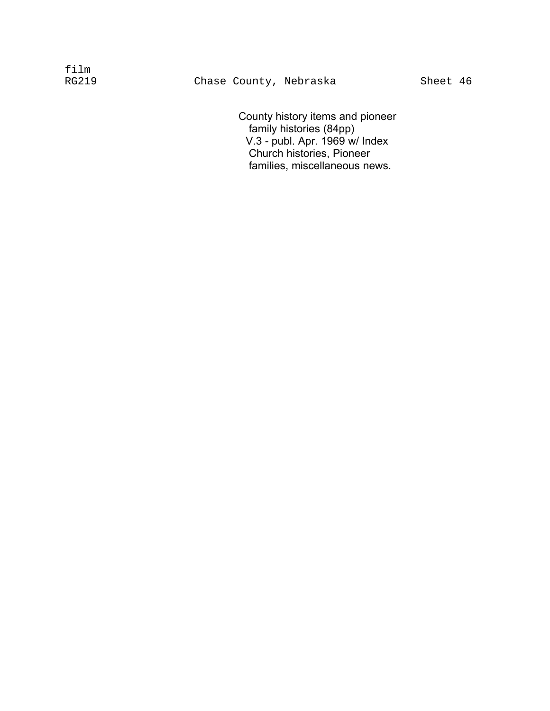County history items and pioneer family histories (84pp) V.3 - publ. Apr. 1969 w/ Index Church histories, Pioneer families, miscellaneous news.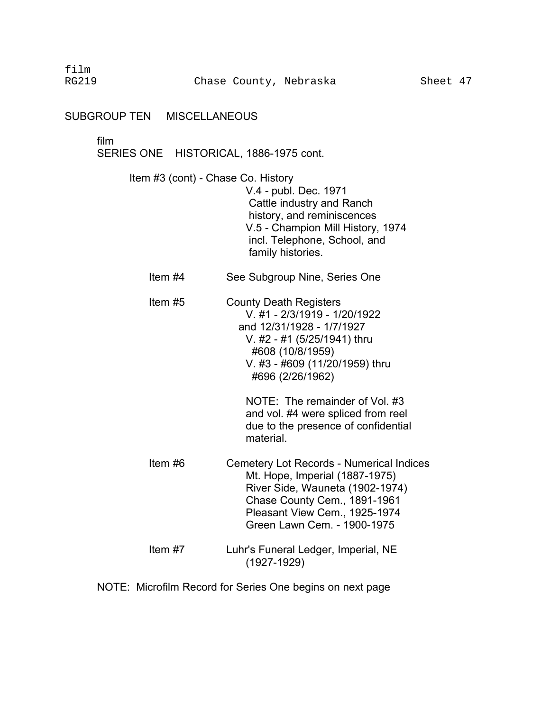SUBGROUP TEN MISCELLANEOUS

#### film

SERIES ONE HISTORICAL, 1886-1975 cont.

- Item #3 (cont) Chase Co. History V.4 - publ. Dec. 1971 Cattle industry and Ranch history, and reminiscences V.5 - Champion Mill History, 1974 incl. Telephone, School, and family histories.
	- Item #4 See Subgroup Nine, Series One
	- Item #5 County Death Registers V. #1 - 2/3/1919 - 1/20/1922 and 12/31/1928 - 1/7/1927 V. #2 - #1 (5/25/1941) thru #608 (10/8/1959) V. #3 - #609 (11/20/1959) thru #696 (2/26/1962)

NOTE: The remainder of Vol. #3 and vol. #4 were spliced from reel due to the presence of confidential material.

- Item #6 Cemetery Lot Records Numerical Indices Mt. Hope, Imperial (1887-1975) River Side, Wauneta (1902-1974) Chase County Cem., 1891-1961 Pleasant View Cem., 1925-1974 Green Lawn Cem. - 1900-1975 Item #7 Luhr's Funeral Ledger, Imperial, NE
	- (1927-1929)

NOTE: Microfilm Record for Series One begins on next page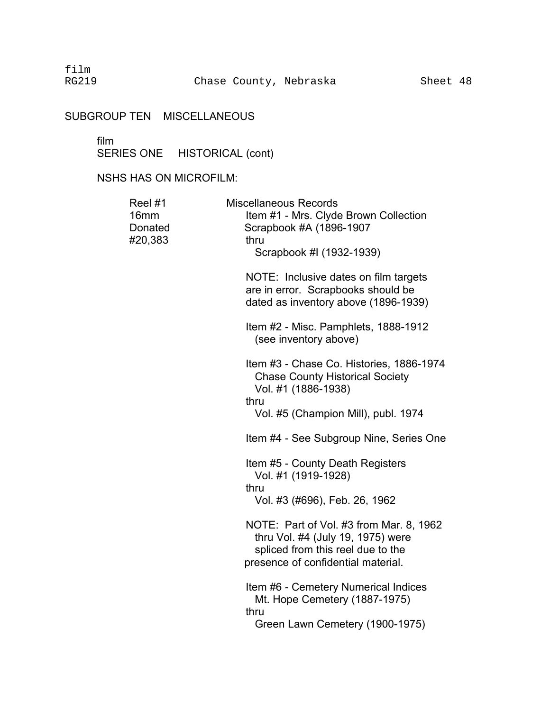# SUBGROUP TEN MISCELLANEOUS

#### film �

SERIES ONE HISTORICAL (cont)

## NSHS HAS ON MICROFILM:

| Reel #1<br>16 <sub>mm</sub><br>Donated<br>#20,383 | <b>Miscellaneous Records</b><br>Item #1 - Mrs. Clyde Brown Collection<br>Scrapbook #A (1896-1907<br>thru<br>Scrapbook #I (1932-1939)                    |  |
|---------------------------------------------------|---------------------------------------------------------------------------------------------------------------------------------------------------------|--|
|                                                   | NOTE: Inclusive dates on film targets<br>are in error. Scrapbooks should be<br>dated as inventory above (1896-1939)                                     |  |
|                                                   | Item #2 - Misc. Pamphlets, 1888-1912<br>(see inventory above)                                                                                           |  |
|                                                   | Item #3 - Chase Co. Histories, 1886-1974<br><b>Chase County Historical Society</b><br>Vol. #1 (1886-1938)<br>thru                                       |  |
|                                                   | Vol. #5 (Champion Mill), publ. 1974                                                                                                                     |  |
|                                                   | Item #4 - See Subgroup Nine, Series One                                                                                                                 |  |
|                                                   | Item #5 - County Death Registers<br>Vol. #1 (1919-1928)<br>thru                                                                                         |  |
|                                                   | Vol. #3 (#696), Feb. 26, 1962                                                                                                                           |  |
|                                                   | NOTE: Part of Vol. #3 from Mar. 8, 1962<br>thru Vol. #4 (July 19, 1975) were<br>spliced from this reel due to the<br>presence of confidential material. |  |
|                                                   | Item #6 - Cemetery Numerical Indices<br>Mt. Hope Cemetery (1887-1975)<br>thru<br>Green Lawn Cemetery (1900-1975)                                        |  |